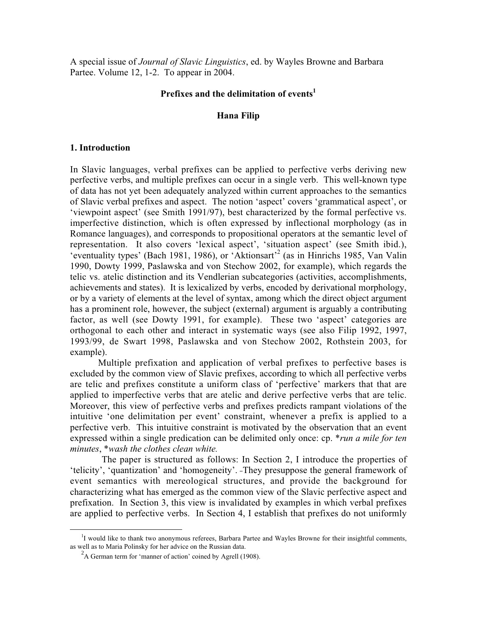A special issue of Journal of Slavic Linguistics, ed. by Wayles Browne and Barbara Partee. Volume 12, 1-2. To appear in 2004.

# Prefixes and the delimitation of events $<sup>1</sup>$ </sup>

## Hana Filip

### 1. Introduction

In Slavic languages, verbal prefixes can be applied to perfective verbs deriving new perfective verbs, and multiple prefixes can occur in a single verb. This well-known type of data has not yet been adequately analyzed within current approaches to the semantics of Slavic verbal prefixes and aspect. The notion 'aspect' covers 'grammatical aspect', or 'viewpoint aspect' (see Smith 1991/97), best characterized by the formal perfective vs. imperfective distinction, which is often expressed by inflectional morphology (as in Romance languages), and corresponds to propositional operators at the semantic level of representation. It also covers 'lexical aspect', 'situation aspect' (see Smith ibid.), 'eventuality types' (Bach 1981, 1986), or 'Aktionsart'<sup>2</sup> (as in Hinrichs 1985, Van Valin 1990, Dowty 1999, Paslawska and von Stechow 2002, for example), which regards the telic vs. atelic distinction and its Vendlerian subcategories (activities, accomplishments, achievements and states). It is lexicalized by verbs, encoded by derivational morphology, or by a variety of elements at the level of syntax, among which the direct object argument has a prominent role, however, the subject (external) argument is arguably a contributing factor, as well (see Dowty 1991, for example). These two 'aspect' categories are orthogonal to each other and interact in systematic ways (see also Filip 1992, 1997, 1993/99, de Swart 1998, Paslawska and von Stechow 2002, Rothstein 2003, for example).

Multiple prefixation and application of verbal prefixes to perfective bases is excluded by the common view of Slavic prefixes, according to which all perfective verbs are telic and prefixes constitute a uniform class of 'perfective' markers that that are applied to imperfective verbs that are atelic and derive perfective verbs that are telic. Moreover, this view of perfective verbs and prefixes predicts rampant violations of the intuitive 'one delimitation per event' constraint, whenever a prefix is applied to a perfective verb. This intuitive constraint is motivated by the observation that an event expressed within a single predication can be delimited only once: cp. \**run a mile for ten* minutes, \*wash the clothes clean white.

The paper is structured as follows: In Section 2, I introduce the properties of 'telicity', 'quantization' and 'homogeneity'. They presuppose the general framework of event semantics with mereological structures, and provide the background for characterizing what has emerged as the common view of the Slavic perfective aspect and prefixation. In Section 3, this view is invalidated by examples in which verbal prefixes are applied to perfective verbs. In Section 4, I establish that prefixes do not uniformly

 $\overline{a}$ 

<sup>&</sup>lt;sup>1</sup>I would like to thank two anonymous referees, Barbara Partee and Wayles Browne for their insightful comments, as well as to Maria Polinsky for her advice on the Russian data.

 $2A$  German term for 'manner of action' coined by Agrell (1908).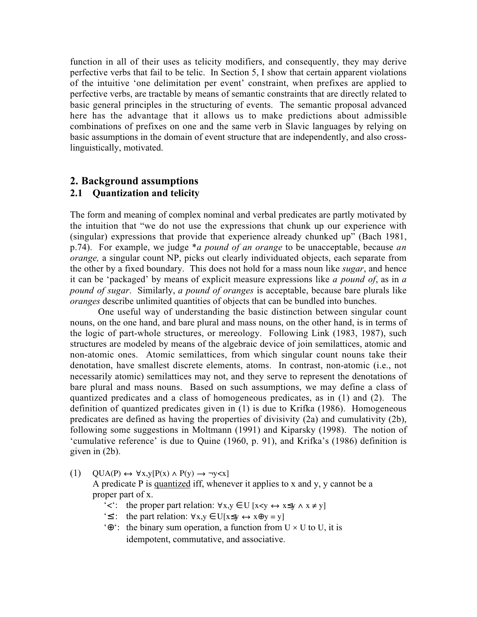function in all of their uses as telicity modifiers, and consequently, they may derive perfective verbs that fail to be telic. In Section 5, I show that certain apparent violations of the intuitive 'one delimitation per event' constraint, when prefixes are applied to perfective verbs, are tractable by means of semantic constraints that are directly related to basic general principles in the structuring of events. The semantic proposal advanced here has the advantage that it allows us to make predictions about admissible combinations of prefixes on one and the same verb in Slavic languages by relying on basic assumptions in the domain of event structure that are independently, and also crosslinguistically, motivated.

# 2. Background assumptions 2.1 Quantization and telicity

The form and meaning of complex nominal and verbal predicates are partly motivated by the intuition that "we do not use the expressions that chunk up our experience with (singular) expressions that provide that experience already chunked up" (Bach 1981, p.74). For example, we judge  $a$  *pound of an orange* to be unacceptable, because *an* orange, a singular count NP, picks out clearly individuated objects, each separate from the other by a fixed boundary. This does not hold for a mass noun like *sugar*, and hence it can be 'packaged' by means of explicit measure expressions like a pound of, as in a pound of sugar. Similarly, a pound of oranges is acceptable, because bare plurals like oranges describe unlimited quantities of objects that can be bundled into bunches.

One useful way of understanding the basic distinction between singular count nouns, on the one hand, and bare plural and mass nouns, on the other hand, is in terms of the logic of part-whole structures, or mereology. Following Link (1983, 1987), such structures are modeled by means of the algebraic device of join semilattices, atomic and non-atomic ones. Atomic semilattices, from which singular count nouns take their denotation, have smallest discrete elements, atoms. In contrast, non-atomic (i.e., not necessarily atomic) semilattices may not, and they serve to represent the denotations of bare plural and mass nouns. Based on such assumptions, we may define a class of quantized predicates and a class of homogeneous predicates, as in (1) and (2). The definition of quantized predicates given in (1) is due to Krifka (1986). Homogeneous predicates are defined as having the properties of divisivity (2a) and cumulativity (2b), following some suggestions in Moltmann (1991) and Kiparsky (1998). The notion of 'cumulative reference' is due to Quine (1960, p. 91), and Krifka's (1986) definition is given in (2b).

(1)  $QUA(P) \leftrightarrow \forall x, y[P(x) \land P(y) \rightarrow \neg y \langle x]$ 

A predicate P is quantized iff, whenever it applies to x and y, y cannot be a proper part of x.

- '<': the proper part relation:  $\forall x, y \in U$  [ $x \prec y \Leftrightarrow x \leq y \land x \neq y$ ]
- '≤': the part relation:  $\forall x, y \in U[x\leq y \leftrightarrow x\oplus y = y]$
- ' $\Theta$ ': the binary sum operation, a function from U  $\times$  U to U, it is idempotent, commutative, and associative.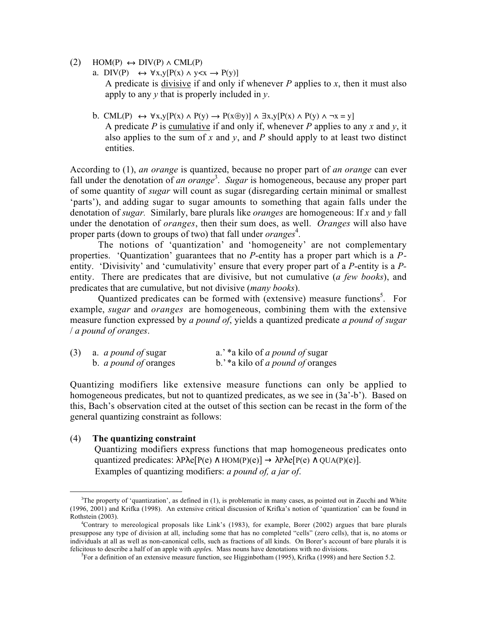- $(2)$  HOM(P)  $\leftrightarrow$  DIV(P)  $\land$  CML(P)
	- a. DIV(P)  $\leftrightarrow \forall x,y[P(x) \land y < x \rightarrow P(y)]$ A predicate is divisive if and only if whenever  $P$  applies to  $x$ , then it must also apply to any  $y$  that is properly included in  $y$ .
	- b. CML(P)  $\leftrightarrow \forall x,y[P(x) \land P(y) \rightarrow P(x \oplus y)] \land \exists x,y[P(x) \land P(y) \land \neg x = y]$ A predicate P is cumulative if and only if, whenever P applies to any x and y, it also applies to the sum of x and y, and P should apply to at least two distinct entities.

According to (1), an orange is quantized, because no proper part of an orange can ever fall under the denotation of an orange<sup>3</sup>. Sugar is homogeneous, because any proper part of some quantity of sugar will count as sugar (disregarding certain minimal or smallest 'parts'), and adding sugar to sugar amounts to something that again falls under the denotation of *sugar*. Similarly, bare plurals like *oranges* are homogeneous: If x and y fall under the denotation of *oranges*, then their sum does, as well. *Oranges* will also have proper parts (down to groups of two) that fall under *oranges*<sup>4</sup>.

The notions of 'quantization' and 'homogeneity' are not complementary properties. 'Quantization' guarantees that no P-entity has a proper part which is a Pentity. 'Divisivity' and 'cumulativity' ensure that every proper part of a P-entity is a Pentity. There are predicates that are divisive, but not cumulative (a few books), and predicates that are cumulative, but not divisive *(many books)*.

Quantized predicates can be formed with (extensive) measure functions<sup>5</sup>. For example, *sugar* and *oranges* are homogeneous, combining them with the extensive measure function expressed by a pound of, yields a quantized predicate a pound of sugar / a pound of oranges.

| (3) | a. <i>a pound of</i> sugar   | a.' *a kilo of <i>a pound of</i> sugar  |
|-----|------------------------------|-----------------------------------------|
|     | b. <i>a pound of</i> oranges | b.'*a kilo of <i>a pound of</i> oranges |

Quantizing modifiers like extensive measure functions can only be applied to homogeneous predicates, but not to quantized predicates, as we see in (3a'-b'). Based on this, Bach's observation cited at the outset of this section can be recast in the form of the general quantizing constraint as follows:

## (4) The quantizing constraint

Quantizing modifiers express functions that map homogeneous predicates onto quantized predicates:  $\lambda P \lambda e[P(e) \wedge HOM(P)(e)] \rightarrow \lambda P \lambda e[P(e) \wedge QUA(P)(e)].$ Examples of quantizing modifiers: a pound of, a jar of.

 $\frac{1}{3}$ <sup>3</sup>The property of 'quantization', as defined in  $(1)$ , is problematic in many cases, as pointed out in Zucchi and White (1996, 2001) and Krifka (1998). An extensive critical discussion of Krifka's notion of 'quantization' can be found in Rothstein (2003).

<sup>4</sup> Contrary to mereological proposals like Link's (1983), for example, Borer (2002) argues that bare plurals presuppose any type of division at all, including some that has no completed "cells" (zero cells), that is, no atoms or individuals at all as well as non-canonical cells, such as fractions of all kinds. On Borer's account of bare plurals it is felicitous to describe a half of an apple with *apples*. Mass nouns have denotations with no divisions.

 ${}^{5}$ For a definition of an extensive measure function, see Higginbotham (1995), Krifka (1998) and here Section 5.2.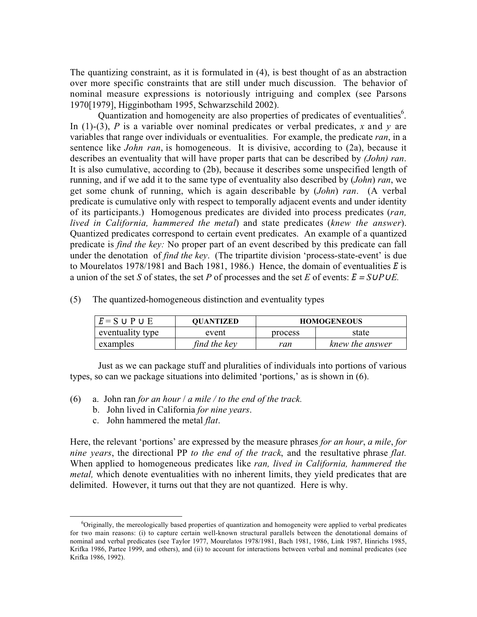The quantizing constraint, as it is formulated in (4), is best thought of as an abstraction over more specific constraints that are still under much discussion. The behavior of nominal measure expressions is notoriously intriguing and complex (see Parsons 1970[1979], Higginbotham 1995, Schwarzschild 2002).

Quantization and homogeneity are also properties of predicates of eventualities<sup>6</sup>. In (1)-(3), P is a variable over nominal predicates or verbal predicates, x and y are variables that range over individuals or eventualities. For example, the predicate ran, in a sentence like *John ran*, is homogeneous. It is divisive, according to (2a), because it describes an eventuality that will have proper parts that can be described by (*John*) ran. It is also cumulative, according to (2b), because it describes some unspecified length of running, and if we add it to the same type of eventuality also described by (*John*) ran, we get some chunk of running, which is again describable by (John) ran. (A verbal predicate is cumulative only with respect to temporally adjacent events and under identity of its participants.) Homogenous predicates are divided into process predicates (ran, lived in California, hammered the metal) and state predicates (knew the answer). Quantized predicates correspond to certain event predicates. An example of a quantized predicate is *find the key*: No proper part of an event described by this predicate can fall under the denotation of *find the key*. (The tripartite division 'process-state-event' is due to Mourelatos 1978/1981 and Bach 1981, 1986.) Hence, the domain of eventualities *E* is a union of the set S of states, the set P of processes and the set E of events:  $E = S \cup P \cup E$ .

| $E = S \cup P \cup E$ | <b>OUANTIZED</b> |         | <b>HOMOGENEOUS</b> |
|-----------------------|------------------|---------|--------------------|
| eventuality type      | event            | process | state              |
| examples              | find the key     | ran     | knew the answer    |

(5) The quantized-homogeneous distinction and eventuality types

Just as we can package stuff and pluralities of individuals into portions of various types, so can we package situations into delimited 'portions,' as is shown in (6).

- (6) a. John ran for an hour / a mile / to the end of the track.
	- b. John lived in California for nine years.
	- c. John hammered the metal flat.

Here, the relevant 'portions' are expressed by the measure phrases for an hour, a mile, for nine years, the directional PP to the end of the track, and the resultative phrase flat. When applied to homogeneous predicates like ran, lived in California, hammered the *metal*, which denote eventualities with no inherent limits, they yield predicates that are delimited. However, it turns out that they are not quantized. Here is why.

 $\overline{\phantom{0}}$  $\delta$ Originally, the mereologically based properties of quantization and homogeneity were applied to verbal predicates for two main reasons: (i) to capture certain well-known structural parallels between the denotational domains of nominal and verbal predicates (see Taylor 1977, Mourelatos 1978/1981, Bach 1981, 1986, Link 1987, Hinrichs 1985, Krifka 1986, Partee 1999, and others), and (ii) to account for interactions between verbal and nominal predicates (see Krifka 1986, 1992).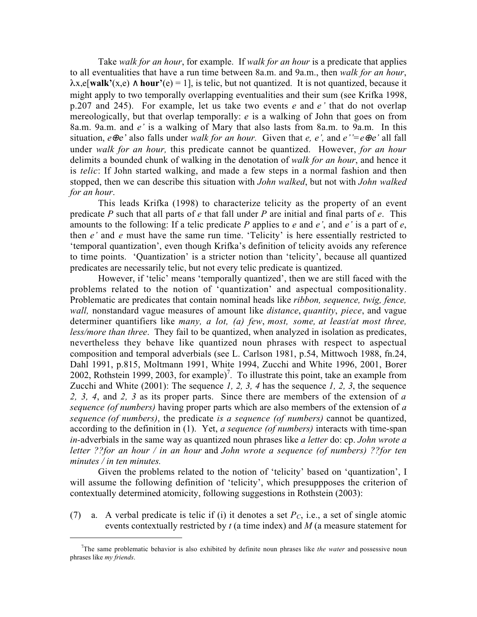Take walk for an hour, for example. If walk for an hour is a predicate that applies to all eventualities that have a run time between 8a.m. and 9a.m., then walk for an hour,  $\lambda$ x,e[walk'(x,e)  $\wedge$  hour'(e) = 1], is telic, but not quantized. It is not quantized, because it might apply to two temporally overlapping eventualities and their sum (see Krifka 1998, p.207 and 245). For example, let us take two events  $e$  and  $e'$  that do not overlap mereologically, but that overlap temporally:  $e$  is a walking of John that goes on from 8a.m. 9a.m. and e' is a walking of Mary that also lasts from 8a.m. to 9a.m. In this situation,  $e \oplus e'$  also falls under walk for an hour. Given that e, e', and  $e' = e \oplus e'$  all fall under walk for an hour, this predicate cannot be quantized. However, for an hour delimits a bounded chunk of walking in the denotation of walk for an hour, and hence it is *telic*: If John started walking, and made a few steps in a normal fashion and then stopped, then we can describe this situation with John walked, but not with John walked for an hour.

This leads Krifka (1998) to characterize telicity as the property of an event predicate  $P$  such that all parts of  $e$  that fall under  $P$  are initial and final parts of  $e$ . This amounts to the following: If a telic predicate P applies to e and  $e'$ , and  $e'$  is a part of  $e$ , then  $e'$  and  $e$  must have the same run time. 'Telicity' is here essentially restricted to 'temporal quantization', even though Krifka's definition of telicity avoids any reference to time points. 'Quantization' is a stricter notion than 'telicity', because all quantized predicates are necessarily telic, but not every telic predicate is quantized.

However, if 'telic' means 'temporally quantized', then we are still faced with the problems related to the notion of 'quantization' and aspectual compositionality. Problematic are predicates that contain nominal heads like *ribbon, sequence, twig, fence,* wall, nonstandard vague measures of amount like *distance*, quantity, piece, and vague determiner quantifiers like many, a lot, (a) few, most, some, at least/at most three, less/more than three. They fail to be quantized, when analyzed in isolation as predicates, nevertheless they behave like quantized noun phrases with respect to aspectual composition and temporal adverbials (see L. Carlson 1981, p.54, Mittwoch 1988, fn.24, Dahl 1991, p.815, Moltmann 1991, White 1994, Zucchi and White 1996, 2001, Borer 2002, Rothstein 1999, 2003, for example)<sup>7</sup>. To illustrate this point, take an example from Zucchi and White  $(2001)$ : The sequence 1, 2, 3, 4 has the sequence 1, 2, 3, the sequence 2, 3, 4, and 2, 3 as its proper parts. Since there are members of the extension of  $a$ sequence (of numbers) having proper parts which are also members of the extension of a sequence (of numbers), the predicate is a sequence (of numbers) cannot be quantized, according to the definition in (1). Yet, a sequence (of numbers) interacts with time-span in-adverbials in the same way as quantized noun phrases like a letter do: cp. John wrote a letter ??for an hour / in an hour and John wrote a sequence (of numbers) ??for ten minutes / in ten minutes.

Given the problems related to the notion of 'telicity' based on 'quantization', I will assume the following definition of 'telicity', which presuppposes the criterion of contextually determined atomicity, following suggestions in Rothstein (2003):

(7) a. A verbal predicate is telic if (i) it denotes a set  $P_C$ , i.e., a set of single atomic events contextually restricted by  $t$  (a time index) and  $M$  (a measure statement for

 $\overline{a}$ 

The same problematic behavior is also exhibited by definite noun phrases like the water and possessive noun phrases like my friends.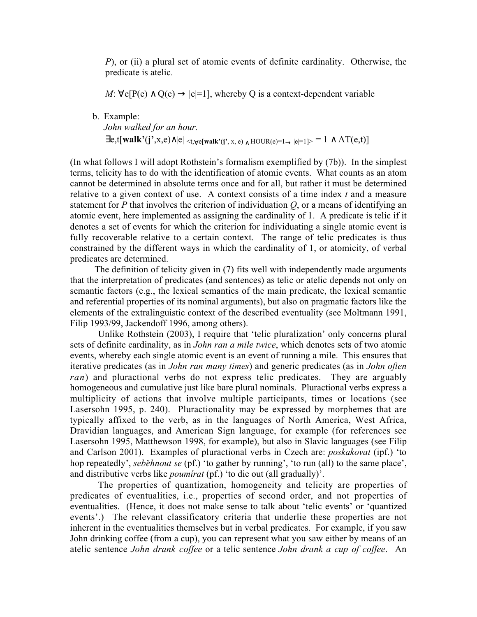P), or (ii) a plural set of atomic events of definite cardinality. Otherwise, the predicate is atelic.

 $M: \forall e[P(e) \land Q(e) \rightarrow |e|=1]$ , whereby Q is a context-dependent variable

b. Example:

John walked for an hour.

 $\exists$ e,t[walk'(j',x,e) $\wedge$ |e| <t, $\forall$ e[walk'(j', x, e)  $\wedge$  HOUR(e)=1 $\rightarrow$ |e|=1]> = 1  $\wedge$  AT(e,t)]

(In what follows I will adopt Rothstein's formalism exemplified by (7b)). In the simplest terms, telicity has to do with the identification of atomic events. What counts as an atom cannot be determined in absolute terms once and for all, but rather it must be determined relative to a given context of use. A context consists of a time index  $t$  and a measure statement for P that involves the criterion of individuation  $Q$ , or a means of identifying an atomic event, here implemented as assigning the cardinality of 1. A predicate is telic if it denotes a set of events for which the criterion for individuating a single atomic event is fully recoverable relative to a certain context. The range of telic predicates is thus constrained by the different ways in which the cardinality of 1, or atomicity, of verbal predicates are determined.

The definition of telicity given in (7) fits well with independently made arguments that the interpretation of predicates (and sentences) as telic or atelic depends not only on semantic factors (e.g., the lexical semantics of the main predicate, the lexical semantic and referential properties of its nominal arguments), but also on pragmatic factors like the elements of the extralinguistic context of the described eventuality (see Moltmann 1991, Filip 1993/99, Jackendoff 1996, among others).

Unlike Rothstein (2003), I require that 'telic pluralization' only concerns plural sets of definite cardinality, as in *John ran a mile twice*, which denotes sets of two atomic events, whereby each single atomic event is an event of running a mile. This ensures that iterative predicates (as in John ran many times) and generic predicates (as in John often ran) and pluractional verbs do not express telic predicates. They are arguably homogeneous and cumulative just like bare plural nominals. Pluractional verbs express a multiplicity of actions that involve multiple participants, times or locations (see Lasersohn 1995, p. 240). Pluractionality may be expressed by morphemes that are typically affixed to the verb, as in the languages of North America, West Africa, Dravidian languages, and American Sign language, for example (for references see Lasersohn 1995, Matthewson 1998, for example), but also in Slavic languages (see Filip and Carlson 2001). Examples of pluractional verbs in Czech are: poskakovat (ipf.) 'to hop repeatedly', *seběhnout se* (pf.) 'to gather by running', 'to run (all) to the same place', and distributive verbs like poumírat (pf.) 'to die out (all gradually)'.

The properties of quantization, homogeneity and telicity are properties of predicates of eventualities, i.e., properties of second order, and not properties of eventualities. (Hence, it does not make sense to talk about 'telic events' or 'quantized events'.) The relevant classificatory criteria that underlie these properties are not inherent in the eventualities themselves but in verbal predicates. For example, if you saw John drinking coffee (from a cup), you can represent what you saw either by means of an atelic sentence John drank coffee or a telic sentence John drank a cup of coffee. An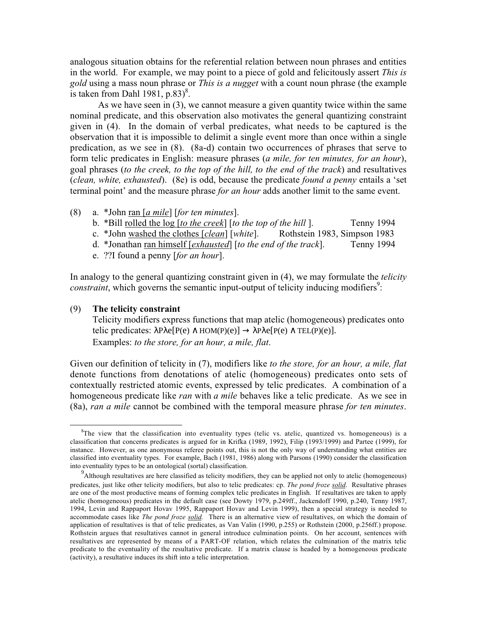analogous situation obtains for the referential relation between noun phrases and entities in the world. For example, we may point to a piece of gold and felicitously assert This is gold using a mass noun phrase or *This is a nugget* with a count noun phrase (the example is taken from Dahl 1981,  $p.83$ <sup>8</sup>.

As we have seen in (3), we cannot measure a given quantity twice within the same nominal predicate, and this observation also motivates the general quantizing constraint given in (4). In the domain of verbal predicates, what needs to be captured is the observation that it is impossible to delimit a single event more than once within a single predication, as we see in (8). (8a-d) contain two occurrences of phrases that serve to form telic predicates in English: measure phrases (a mile, for ten minutes, for an hour), goal phrases (to the creek, to the top of the hill, to the end of the track) and resultatives (clean, white, exhausted). (8e) is odd, because the predicate found a penny entails a 'set terminal point' and the measure phrase *for an hour* adds another limit to the same event.

- (8) a. \*John ran [a mile] [for ten minutes].
	- b. \*Bill rolled the log [to the creek] [to the top of the hill ]. Tenny 1994
	- c. \*John washed the clothes [clean] [white]. Rothstein 1983, Simpson 1983
	- d. \*Jonathan ran himself [exhausted] [to the end of the track]. Tenny 1994
	- e. ??I found a penny [for an hour].

In analogy to the general quantizing constraint given in (4), we may formulate the *telicity*  $constraint$ , which governs the semantic input-output of telicity inducing modifiers<sup>9</sup>:

### (9) The telicity constraint

Telicity modifiers express functions that map atelic (homogeneous) predicates onto telic predicates:  $\lambda P \lambda e[P(e) \wedge HOM(P)(e)] \rightarrow \lambda P \lambda e[P(e) \wedge TEL(P)(e)].$ Examples: to the store, for an hour, a mile, flat.

Given our definition of telicity in (7), modifiers like to the store, for an hour, a mile, flat denote functions from denotations of atelic (homogeneous) predicates onto sets of contextually restricted atomic events, expressed by telic predicates. A combination of a homogeneous predicate like *ran* with *a mile* behaves like a telic predicate. As we see in (8a), ran a mile cannot be combined with the temporal measure phrase for ten minutes.

8  ${}^{8}$ The view that the classification into eventuality types (telic vs. atelic, quantized vs. homogeneous) is a classification that concerns predicates is argued for in Krifka (1989, 1992), Filip (1993/1999) and Partee (1999), for instance. However, as one anonymous referee points out, this is not the only way of understanding what entities are classified into eventuality types. For example, Bach (1981, 1986) along with Parsons (1990) consider the classification into eventuality types to be an ontological (sortal) classification.

<sup>&</sup>lt;sup>9</sup> Although resultatives are here classified as telicity modifiers, they can be applied not only to atelic (homogeneous) predicates, just like other telicity modifiers, but also to telic predicates: cp. The pond froze solid. Resultative phrases are one of the most productive means of forming complex telic predicates in English. If resultatives are taken to apply atelic (homogeneous) predicates in the default case (see Dowty 1979, p.249ff., Jackendoff 1990, p.240, Tenny 1987, 1994, Levin and Rappaport Hovav 1995, Rappaport Hovav and Levin 1999), then a special strategy is needed to accommodate cases like The pond froze solid. There is an alternative view of resultatives, on which the domain of application of resultatives is that of telic predicates, as Van Valin (1990, p.255) or Rothstein (2000, p.256ff.) propose. Rothstein argues that resultatives cannot in general introduce culmination points. On her account, sentences with resultatives are represented by means of a PART-OF relation, which relates the culmination of the matrix telic predicate to the eventuality of the resultative predicate. If a matrix clause is headed by a homogeneous predicate (activity), a resultative induces its shift into a telic interpretation.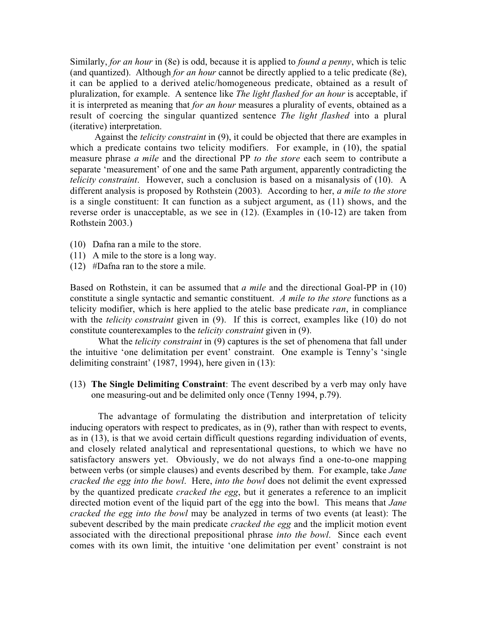Similarly, for an hour in (8e) is odd, because it is applied to found a penny, which is telic (and quantized). Although for an hour cannot be directly applied to a telic predicate (8e), it can be applied to a derived atelic/homogeneous predicate, obtained as a result of pluralization, for example. A sentence like The light flashed for an hour is acceptable, if it is interpreted as meaning that *for an hour* measures a plurality of events, obtained as a result of coercing the singular quantized sentence The light flashed into a plural (iterative) interpretation.

Against the *telicity constraint* in (9), it could be objected that there are examples in which a predicate contains two telicity modifiers. For example, in (10), the spatial measure phrase *a mile* and the directional PP to the store each seem to contribute a separate 'measurement' of one and the same Path argument, apparently contradicting the telicity constraint. However, such a conclusion is based on a misanalysis of (10). A different analysis is proposed by Rothstein (2003). According to her, *a mile to the store* is a single constituent: It can function as a subject argument, as (11) shows, and the reverse order is unacceptable, as we see in (12). (Examples in (10-12) are taken from Rothstein 2003.)

- (10) Dafna ran a mile to the store.
- (11) A mile to the store is a long way.
- (12) #Dafna ran to the store a mile.

Based on Rothstein, it can be assumed that a mile and the directional Goal-PP in  $(10)$ constitute a single syntactic and semantic constituent. A mile to the store functions as a telicity modifier, which is here applied to the atelic base predicate ran, in compliance with the *telicity constraint* given in (9). If this is correct, examples like (10) do not constitute counterexamples to the telicity constraint given in (9).

What the *telicity constraint* in (9) captures is the set of phenomena that fall under the intuitive 'one delimitation per event' constraint. One example is Tenny's 'single delimiting constraint' (1987, 1994), here given in (13):

(13) The Single Delimiting Constraint: The event described by a verb may only have one measuring-out and be delimited only once (Tenny 1994, p.79).

The advantage of formulating the distribution and interpretation of telicity inducing operators with respect to predicates, as in (9), rather than with respect to events, as in (13), is that we avoid certain difficult questions regarding individuation of events, and closely related analytical and representational questions, to which we have no satisfactory answers yet. Obviously, we do not always find a one-to-one mapping between verbs (or simple clauses) and events described by them. For example, take *Jane* cracked the egg into the bowl. Here, into the bowl does not delimit the event expressed by the quantized predicate *cracked the egg*, but it generates a reference to an implicit directed motion event of the liquid part of the egg into the bowl. This means that Jane cracked the egg into the bowl may be analyzed in terms of two events (at least): The subevent described by the main predicate *cracked the egg* and the implicit motion event associated with the directional prepositional phrase into the bowl. Since each event comes with its own limit, the intuitive 'one delimitation per event' constraint is not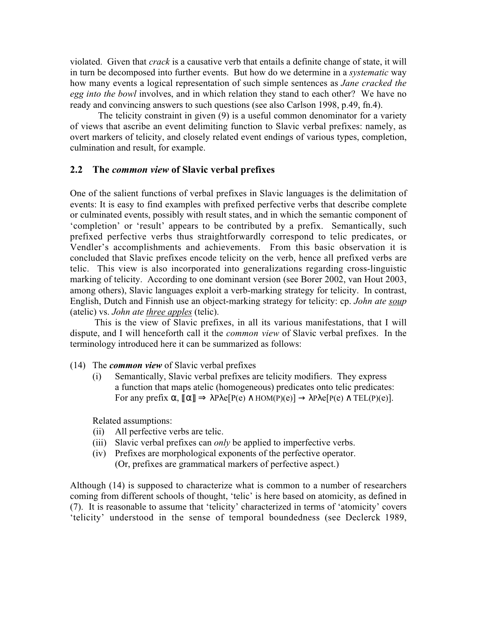violated. Given that *crack* is a causative verb that entails a definite change of state, it will in turn be decomposed into further events. But how do we determine in a systematic way how many events a logical representation of such simple sentences as *Jane cracked the* egg into the bowl involves, and in which relation they stand to each other? We have no ready and convincing answers to such questions (see also Carlson 1998, p.49, fn.4).

The telicity constraint in given (9) is a useful common denominator for a variety of views that ascribe an event delimiting function to Slavic verbal prefixes: namely, as overt markers of telicity, and closely related event endings of various types, completion, culmination and result, for example.

# 2.2 The *common view* of Slavic verbal prefixes

One of the salient functions of verbal prefixes in Slavic languages is the delimitation of events: It is easy to find examples with prefixed perfective verbs that describe complete or culminated events, possibly with result states, and in which the semantic component of 'completion' or 'result' appears to be contributed by a prefix. Semantically, such prefixed perfective verbs thus straightforwardly correspond to telic predicates, or Vendler's accomplishments and achievements. From this basic observation it is concluded that Slavic prefixes encode telicity on the verb, hence all prefixed verbs are telic. This view is also incorporated into generalizations regarding cross-linguistic marking of telicity. According to one dominant version (see Borer 2002, van Hout 2003, among others), Slavic languages exploit a verb-marking strategy for telicity. In contrast, English, Dutch and Finnish use an object-marking strategy for telicity: cp. John ate soup (atelic) vs. John ate three apples (telic).

This is the view of Slavic prefixes, in all its various manifestations, that I will dispute, and I will henceforth call it the common view of Slavic verbal prefixes. In the terminology introduced here it can be summarized as follows:

- (14) The common view of Slavic verbal prefixes
	- (i) Semantically, Slavic verbal prefixes are telicity modifiers. They express a function that maps atelic (homogeneous) predicates onto telic predicates: For any prefix  $\alpha$ ,  $\llbracket \alpha \rrbracket \Rightarrow \lambda P \lambda e[P(e) \wedge HOM(P)(e)] \rightarrow \lambda P \lambda e[P(e) \wedge TEL(P)(e)].$

Related assumptions:

- (ii) All perfective verbs are telic.
- (iii) Slavic verbal prefixes can *only* be applied to imperfective verbs.
- (iv) Prefixes are morphological exponents of the perfective operator. (Or, prefixes are grammatical markers of perfective aspect.)

Although (14) is supposed to characterize what is common to a number of researchers coming from different schools of thought, 'telic' is here based on atomicity, as defined in (7). It is reasonable to assume that 'telicity' characterized in terms of 'atomicity' covers 'telicity' understood in the sense of temporal boundedness (see Declerck 1989,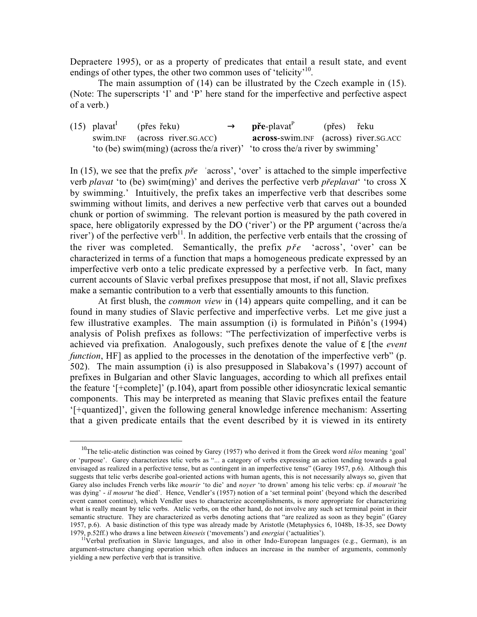Depraetere 1995), or as a property of predicates that entail a result state, and event endings of other types, the other two common uses of 'telicity'<sup>10</sup>.

The main assumption of (14) can be illustrated by the Czech example in (15). (Note: The superscripts 'I' and 'P' here stand for the imperfective and perfective aspect of a verb.)

| $(15)$ plavat <sup>1</sup> | (přes řeku)                                                                  | $\rightarrow$ <b>pre-</b> plavat <sup>P</sup> | (přes) řeku |  |
|----------------------------|------------------------------------------------------------------------------|-----------------------------------------------|-------------|--|
|                            | swim.INF (across river.SG.ACC)                                               | <b>across-swim.INF</b> (across) river.SG.ACC  |             |  |
|                            | 'to (be) swim(ming) (across the/a river)' 'to cross the/a river by swimming' |                                               |             |  |

In (15), we see that the prefix *pfie*- 'across', 'over' is attached to the simple imperfective verb *plavat* 'to (be) swim(ming)' and derives the perfective verb *pfieplavat*' 'to cross X by swimming.' Intuitively, the prefix takes an imperfective verb that describes some swimming without limits, and derives a new perfective verb that carves out a bounded chunk or portion of swimming. The relevant portion is measured by the path covered in space, here obligatorily expressed by the DO ('river') or the PP argument ('across the/a river') of the perfective verb<sup>11</sup>. In addition, the perfective verb entails that the crossing of the river was completed. Semantically, the prefix  $p\ddot{r}e$ - 'across', 'over' can be characterized in terms of a function that maps a homogeneous predicate expressed by an imperfective verb onto a telic predicate expressed by a perfective verb. In fact, many current accounts of Slavic verbal prefixes presuppose that most, if not all, Slavic prefixes make a semantic contribution to a verb that essentially amounts to this function.

At first blush, the common view in (14) appears quite compelling, and it can be found in many studies of Slavic perfective and imperfective verbs. Let me give just a few illustrative examples. The main assumption (i) is formulated in Piñón's (1994) analysis of Polish prefixes as follows: "The perfectivization of imperfective verbs is achieved via prefixation. Analogously, such prefixes denote the value of  $\epsilon$  [the *event* function, HF] as applied to the processes in the denotation of the imperfective verb" (p. 502). The main assumption (i) is also presupposed in Slabakova's (1997) account of prefixes in Bulgarian and other Slavic languages, according to which all prefixes entail the feature '[+complete]' (p.104), apart from possible other idiosyncratic lexical semantic components. This may be interpreted as meaning that Slavic prefixes entail the feature '[+quantized]', given the following general knowledge inference mechanism: Asserting that a given predicate entails that the event described by it is viewed in its entirety

<sup>&</sup>lt;sup>10</sup>The telic-atelic distinction was coined by Garey (1957) who derived it from the Greek word *télos* meaning 'goal' or 'purpose'. Garey characterizes telic verbs as "... a category of verbs expressing an action tending towards a goal envisaged as realized in a perfective tense, but as contingent in an imperfective tense" (Garey 1957, p.6). Although this suggests that telic verbs describe goal-oriented actions with human agents, this is not necessarily always so, given that Garey also includes French verbs like mourir 'to die' and noyer 'to drown' among his telic verbs: cp. il mourait 'he was dying' - il mourut 'he died'. Hence, Vendler's (1957) notion of a 'set terminal point' (beyond which the described event cannot continue), which Vendler uses to characterize accomplishments, is more appropriate for characterizing what is really meant by telic verbs. Atelic verbs, on the other hand, do not involve any such set terminal point in their semantic structure. They are characterized as verbs denoting actions that "are realized as soon as they begin" (Garey 1957, p.6). A basic distinction of this type was already made by Aristotle (Metaphysics 6, 1048b, 18-35, see Dowty 1979, p.52ff.) who draws a line between *kineseis* ('movements') and *energiai* ('actualities').

 $11$ Verbal prefixation in Slavic languages, and also in other Indo-European languages (e.g., German), is an argument-structure changing operation which often induces an increase in the number of arguments, commonly yielding a new perfective verb that is transitive.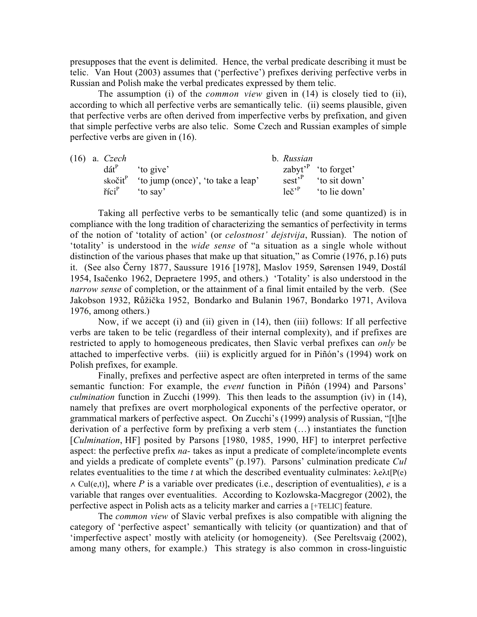presupposes that the event is delimited. Hence, the verbal predicate describing it must be telic. Van Hout (2003) assumes that ('perfective') prefixes deriving perfective verbs in Russian and Polish make the verbal predicates expressed by them telic.

The assumption (i) of the *common view* given in (14) is closely tied to (ii), according to which all perfective verbs are semantically telic. (ii) seems plausible, given that perfective verbs are often derived from imperfective verbs by prefixation, and given that simple perfective verbs are also telic. Some Czech and Russian examples of simple perfective verbs are given in (16).

|  | $(16)$ a. Czech   |                                                                         | b. Russian      |                                        |
|--|-------------------|-------------------------------------------------------------------------|-----------------|----------------------------------------|
|  |                   | $\text{d}\acute{\text{a}}\text{t}^{\text{P}}$ 'to give'                 |                 | zabyt' to forget'                      |
|  |                   | skočit $\mathfrak{t}^{\mathfrak{p}}$ 'to jump (once)', 'to take a leap' |                 | $\text{sest}^{\text{P}}$ 'to sit down' |
|  | říci <sup>p</sup> | to say'                                                                 | $leq^{\cdot P}$ | 'to lie down'                          |

Taking all perfective verbs to be semantically telic (and some quantized) is in compliance with the long tradition of characterizing the semantics of perfectivity in terms of the notion of 'totality of action' (or celostnost' dejstvija, Russian). The notion of 'totality' is understood in the wide sense of "a situation as a single whole without distinction of the various phases that make up that situation," as Comrie (1976, p.16) puts it. (See also âerny 1877, Saussure 1916 [1978], Maslov 1959, Sørensen 1949, Dostál 1954, Isaãenko 1962, Depraetere 1995, and others.) 'Totality' is also understood in the narrow sense of completion, or the attainment of a final limit entailed by the verb. (See Jakobson 1932, Růžička 1952, Bondarko and Bulanin 1967, Bondarko 1971, Avilova 1976, among others.)

Now, if we accept (i) and (ii) given in (14), then (iii) follows: If all perfective verbs are taken to be telic (regardless of their internal complexity), and if prefixes are restricted to apply to homogeneous predicates, then Slavic verbal prefixes can *only* be attached to imperfective verbs. (iii) is explicitly argued for in Piñón's (1994) work on Polish prefixes, for example.

Finally, prefixes and perfective aspect are often interpreted in terms of the same semantic function: For example, the event function in Piñón (1994) and Parsons' culmination function in Zucchi (1999). This then leads to the assumption (iv) in (14), namely that prefixes are overt morphological exponents of the perfective operator, or grammatical markers of perfective aspect. On Zucchi's (1999) analysis of Russian, "[t]he derivation of a perfective form by prefixing a verb stem (…) instantiates the function [Culmination, HF] posited by Parsons [1980, 1985, 1990, HF] to interpret perfective aspect: the perfective prefix *na*- takes as input a predicate of complete/incomplete events and yields a predicate of complete events" (p.197). Parsons' culmination predicate Cul relates eventualities to the time t at which the described eventuality culminates:  $\lambda$ e $\lambda$ t[P(e)]  $\wedge$  Cul(e,t)], where P is a variable over predicates (i.e., description of eventualities), e is a variable that ranges over eventualities. According to Kozlowska-Macgregor (2002), the perfective aspect in Polish acts as a telicity marker and carries a [+TELIC] feature.

The common view of Slavic verbal prefixes is also compatible with aligning the category of 'perfective aspect' semantically with telicity (or quantization) and that of 'imperfective aspect' mostly with atelicity (or homogeneity). (See Pereltsvaig (2002), among many others, for example.) This strategy is also common in cross-linguistic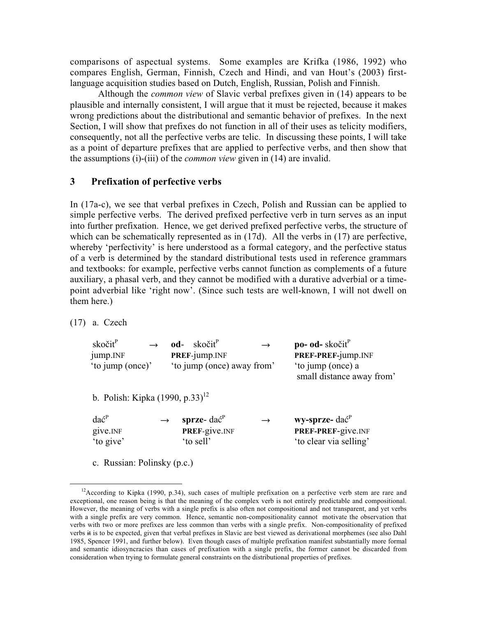comparisons of aspectual systems. Some examples are Krifka (1986, 1992) who compares English, German, Finnish, Czech and Hindi, and van Hout's (2003) firstlanguage acquisition studies based on Dutch, English, Russian, Polish and Finnish.

Although the common view of Slavic verbal prefixes given in (14) appears to be plausible and internally consistent, I will argue that it must be rejected, because it makes wrong predictions about the distributional and semantic behavior of prefixes. In the next Section, I will show that prefixes do not function in all of their uses as telicity modifiers, consequently, not all the perfective verbs are telic. In discussing these points, I will take as a point of departure prefixes that are applied to perfective verbs, and then show that the assumptions (i)-(iii) of the common view given in (14) are invalid.

# 3 Prefixation of perfective verbs

In (17a-c), we see that verbal prefixes in Czech, Polish and Russian can be applied to simple perfective verbs. The derived prefixed perfective verb in turn serves as an input into further prefixation. Hence, we get derived prefixed perfective verbs, the structure of which can be schematically represented as in (17d). All the verbs in (17) are perfective, whereby 'perfectivity' is here understood as a formal category, and the perfective status of a verb is determined by the standard distributional tests used in reference grammars and textbooks: for example, perfective verbs cannot function as complements of a future auxiliary, a phasal verb, and they cannot be modified with a durative adverbial or a timepoint adverbial like 'right now'. (Since such tests are well-known, I will not dwell on them here.)

(17) a. Czech

 $\overline{a}$ 

| skočit <sup>P</sup><br>jump.INF<br>'to jump (once)' | $od-$ skočit $\mathbf{r}^P$<br>PREF-jump.INF<br>'to jump (once) away from' | $po- od - skočitP$<br>PREF-PREF-jump.INF<br>'to jump (once) a<br>small distance away from' |
|-----------------------------------------------------|----------------------------------------------------------------------------|--------------------------------------------------------------------------------------------|
| b. Polish: Kipka $(1990, p.33)^{12}$                |                                                                            |                                                                                            |

| $da\acute{c}^{\tiny{\textrm{P}}}$ | $\rightarrow$ | sprze- $\text{da}\hat{\text{c}}^P$ | $\rightarrow$ | wy-sprze- dać <sup>P</sup> |
|-----------------------------------|---------------|------------------------------------|---------------|----------------------------|
| give. <sub>INF</sub>              |               | <b>PREF-give.INF</b>               |               | <b>PREF-PREF-give.INF</b>  |
| 'to give'                         |               | to sell'                           |               | 'to clear via selling'     |

c. Russian: Polinsky (p.c.)

<sup>&</sup>lt;sup>12</sup>According to Kipka (1990, p.34), such cases of multiple prefixation on a perfective verb stem are rare and exceptional, one reason being is that the meaning of the complex verb is not entirely predictable and compositional. However, the meaning of verbs with a single prefix is also often not compositional and not transparent, and yet verbs with a single prefix are very common. Hence, semantic non-compositionality cannot motivate the observation that verbs with two or more prefixes are less common than verbs with a single prefix. Non-compositionality of prefixed verbs it is to be expected, given that verbal prefixes in Slavic are best viewed as derivational morphemes (see also Dahl 1985, Spencer 1991, and further below). Even though cases of multiple prefixation manifest substantially more formal and semantic idiosyncracies than cases of prefixation with a single prefix, the former cannot be discarded from consideration when trying to formulate general constraints on the distributional properties of prefixes.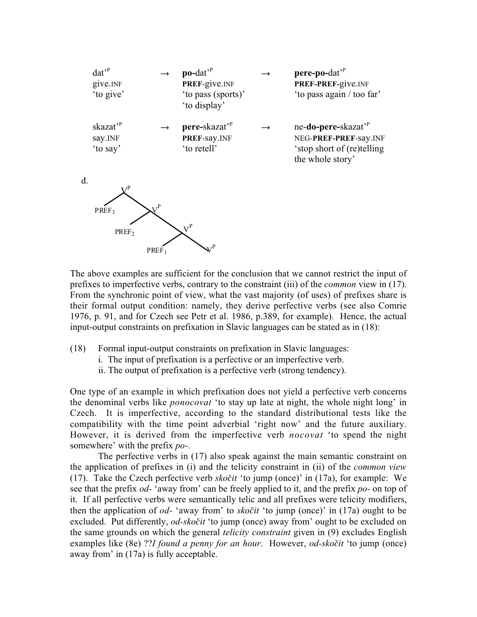

The above examples are sufficient for the conclusion that we cannot restrict the input of prefixes to imperfective verbs, contrary to the constraint (iii) of the *common* view in (17). From the synchronic point of view, what the vast majority (of uses) of prefixes share is their formal output condition: namely, they derive perfective verbs (see also Comrie 1976, p. 91, and for Czech see Petr et al. 1986, p.389, for example). Hence, the actual input-output constraints on prefixation in Slavic languages can be stated as in (18):

- (18) Formal input-output constraints on prefixation in Slavic languages:
	- i. The input of prefixation is a perfective or an imperfective verb.
	- ii. The output of prefixation is a perfective verb (strong tendency).

One type of an example in which prefixation does not yield a perfective verb concerns the denominal verbs like *ponocovat* 'to stay up late at night, the whole night long' in Czech. It is imperfective, according to the standard distributional tests like the compatibility with the time point adverbial 'right now' and the future auxiliary. However, it is derived from the imperfective verb *nocovat* 'to spend the night somewhere' with the prefix *po-*.

The perfective verbs in (17) also speak against the main semantic constraint on the application of prefixes in (i) and the telicity constraint in (ii) of the common view (17). Take the Czech perfective verb sko*ãit* 'to jump (once)' in (17a), for example: We see that the prefix *od*- 'away from' can be freely applied to it, and the prefix *po*- on top of it. If all perfective verbs were semantically telic and all prefixes were telicity modifiers, then the application of od- 'away from' to sko*ãit* 'to jump (once)' in (17a) ought to be excluded. Put differently, od-sko*ãit* 'to jump (once) away from' ought to be excluded on the same grounds on which the general *telicity constraint* given in (9) excludes English examples like (8e) ??I found a penny for an hour. However, od-sko*ãit* 'to jump (once) away from' in (17a) is fully acceptable.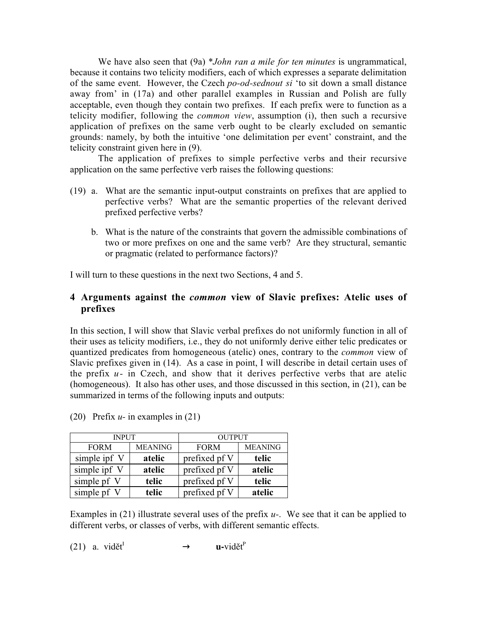We have also seen that (9a) \*John ran a mile for ten minutes is ungrammatical, because it contains two telicity modifiers, each of which expresses a separate delimitation of the same event. However, the Czech po-od-sednout si 'to sit down a small distance away from' in (17a) and other parallel examples in Russian and Polish are fully acceptable, even though they contain two prefixes. If each prefix were to function as a telicity modifier, following the common view, assumption (i), then such a recursive application of prefixes on the same verb ought to be clearly excluded on semantic grounds: namely, by both the intuitive 'one delimitation per event' constraint, and the telicity constraint given here in (9).

The application of prefixes to simple perfective verbs and their recursive application on the same perfective verb raises the following questions:

- (19) a. What are the semantic input-output constraints on prefixes that are applied to perfective verbs? What are the semantic properties of the relevant derived prefixed perfective verbs?
	- b. What is the nature of the constraints that govern the admissible combinations of two or more prefixes on one and the same verb? Are they structural, semantic or pragmatic (related to performance factors)?

I will turn to these questions in the next two Sections, 4 and 5.

# 4 Arguments against the *common* view of Slavic prefixes: Atelic uses of prefixes

In this section, I will show that Slavic verbal prefixes do not uniformly function in all of their uses as telicity modifiers, i.e., they do not uniformly derive either telic predicates or quantized predicates from homogeneous (atelic) ones, contrary to the common view of Slavic prefixes given in (14). As a case in point, I will describe in detail certain uses of the prefix  $u$ - in Czech, and show that it derives perfective verbs that are atelic (homogeneous). It also has other uses, and those discussed in this section, in (21), can be summarized in terms of the following inputs and outputs:

| <b>INPUT</b> |                | <b>OUTPUT</b> |                |  |
|--------------|----------------|---------------|----------------|--|
| <b>FORM</b>  | <b>MEANING</b> | <b>FORM</b>   | <b>MEANING</b> |  |
| simple ipf V | atelic         | prefixed pf V | telic          |  |
| simple ipf V | atelic         | prefixed pf V | atelic         |  |
| simple pf V  | telic          | prefixed pf V | telic          |  |
| simple pf V  | telic          | prefixed pf V | atelic         |  |

(20) Prefix  $u$ - in examples in (21)

Examples in (21) illustrate several uses of the prefix  $u$ -. We see that it can be applied to different verbs, or classes of verbs, with different semantic effects.

(21) a. vidět<sup>I</sup> 
$$
\rightarrow
$$
 u-vidět<sup>P</sup>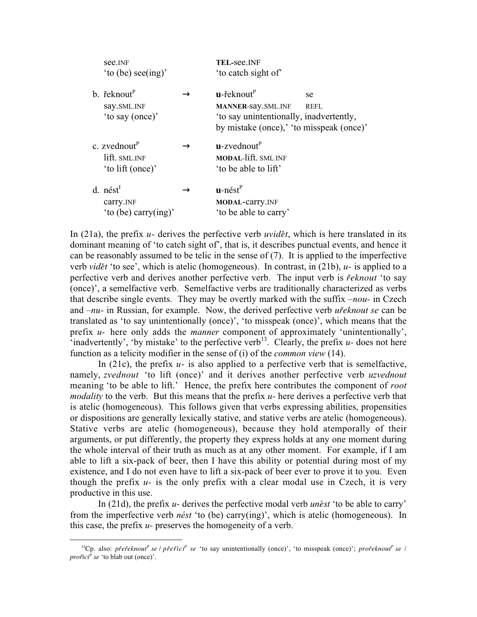| see. <sub>INF</sub><br>'to (be) see(ing)'                             |               | TEL-see.INF<br>'to catch sight of'                                                                                                              |                   |
|-----------------------------------------------------------------------|---------------|-------------------------------------------------------------------------------------------------------------------------------------------------|-------------------|
| b. $\check{r}$ eknout <sup>P</sup><br>say.SML.INF<br>'to say (once)'  |               | $\mathbf{u}$ -řeknout $\mathbf{v}$<br>MANNER-Say.SML.INF<br>'to say unintentionally, inadvertently,<br>by mistake (once),' 'to misspeak (once)' | se<br><b>REFL</b> |
| c. zvednout $P$<br>lift. SML.INF<br>'to lift (once)'                  | $\rightarrow$ | $u$ -zvednout $v^P$<br><b>MODAL-lift. SML.INF</b><br>'to be able to lift'                                                                       |                   |
| d. nést <sup>1</sup><br>carry. <sub>INF</sub><br>'to (be) carry(ing)' |               | $\mathbf{u}$ -nést $\mathrm{P}$<br>MODAL-carry.INF<br>'to be able to carry'                                                                     |                   |

In (21a), the prefix u- derives the perfective verb *uvidût*, which is here translated in its dominant meaning of 'to catch sight of', that is, it describes punctual events, and hence it can be reasonably assumed to be telic in the sense of  $(7)$ . It is applied to the imperfective verb *vidût* 'to see', which is atelic (homogeneous). In contrast, in (21b), u- is applied to a perfective verb and derives another perfective verb. The input verb is *fieknout* 'to say (once)', a semelfactive verb. Semelfactive verbs are traditionally characterized as verbs that describe single events. They may be overtly marked with the suffix  $-nou-$  in Czech and –nu- in Russian, for example. Now, the derived perfective verb *ufieknout* se can be translated as 'to say unintentionally (once)', 'to misspeak (once)', which means that the prefix  $u$ - here only adds the *manner* component of approximately 'unintentionally', 'inadvertently', 'by mistake' to the perfective verb<sup>13</sup>. Clearly, the prefix  $u$ - does not here function as a telicity modifier in the sense of (i) of the *common view* (14).

In (21c), the prefix  $u$ - is also applied to a perfective verb that is semelfactive, namely, zvednout 'to lift (once)' and it derives another perfective verb uzvednout meaning 'to be able to lift.' Hence, the prefix here contributes the component of root *modality* to the verb. But this means that the prefix  $u$ - here derives a perfective verb that is atelic (homogeneous). This follows given that verbs expressing abilities, propensities or dispositions are generally lexically stative, and stative verbs are atelic (homogeneous). Stative verbs are atelic (homogeneous), because they hold atemporally of their arguments, or put differently, the property they express holds at any one moment during the whole interval of their truth as much as at any other moment. For example, if I am able to lift a six-pack of beer, then I have this ability or potential during most of my existence, and I do not even have to lift a six-pack of beer ever to prove it to you. Even though the prefix  $u$ - is the only prefix with a clear modal use in Czech, it is very productive in this use.

In (21d), the prefix u- derives the perfective modal verb *unést* 'to be able to carry' from the imperfective verb *nést* 'to (be) carry(ing)', which is atelic (homogeneous). In this case, the prefix  $u$ - preserves the homogeneity of a verb.

<sup>&</sup>lt;sup>13</sup>Cp. also: *přeřeknout<sup>p</sup> se | přeříci<sup>p</sup> se '*to say unintentionally (once)', 'to misspeak (once)'; *prořeknout<sup>p</sup> se | profiíciP se* 'to blab out (once)'.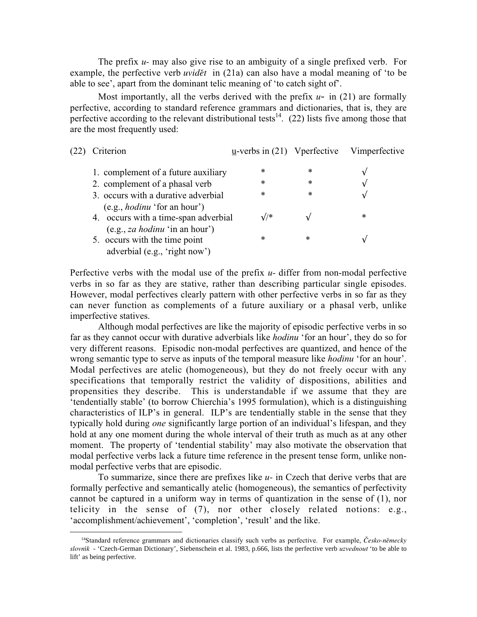The prefix  $u$ - may also give rise to an ambiguity of a single prefixed verb. For example, the perfective verb *uvid*ed in (21a) can also have a modal meaning of 'to be able to see', apart from the dominant telic meaning of 'to catch sight of'.

Most importantly, all the verbs derived with the prefix  $u$ - in (21) are formally perfective, according to standard reference grammars and dictionaries, that is, they are perfective according to the relevant distributional tests<sup>14</sup>. (22) lists five among those that are the most frequently used:

| (22 | Criterion                                                                                                      | $\underline{u}$ -verbs in (21) V perfective |        | Vimperfective |
|-----|----------------------------------------------------------------------------------------------------------------|---------------------------------------------|--------|---------------|
|     | 1. complement of a future auxiliary                                                                            | ∗                                           | *      |               |
|     | 2. complement of a phasal verb                                                                                 | ∗                                           | $\ast$ |               |
|     | 3. occurs with a durative adverbial                                                                            | ∗                                           | $\ast$ | ٦             |
|     | (e.g., <i>hodinu</i> ' for an hour')<br>4. occurs with a time-span adverbial<br>(e.g., za hodinu 'in an hour') | $\sqrt{2}$                                  |        | $\ast$        |
|     | 5. occurs with the time point<br>adverbial (e.g., 'right now')                                                 | *                                           | *      |               |

Perfective verbs with the modal use of the prefix  $u$ - differ from non-modal perfective verbs in so far as they are stative, rather than describing particular single episodes. However, modal perfectives clearly pattern with other perfective verbs in so far as they can never function as complements of a future auxiliary or a phasal verb, unlike imperfective statives.

Although modal perfectives are like the majority of episodic perfective verbs in so far as they cannot occur with durative adverbials like hodinu 'for an hour', they do so for very different reasons. Episodic non-modal perfectives are quantized, and hence of the wrong semantic type to serve as inputs of the temporal measure like *hodinu* 'for an hour'. Modal perfectives are atelic (homogeneous), but they do not freely occur with any specifications that temporally restrict the validity of dispositions, abilities and propensities they describe. This is understandable if we assume that they are 'tendentially stable' (to borrow Chierchia's 1995 formulation), which is a distinguishing characteristics of ILP's in general. ILP's are tendentially stable in the sense that they typically hold during one significantly large portion of an individual's lifespan, and they hold at any one moment during the whole interval of their truth as much as at any other moment. The property of 'tendential stability' may also motivate the observation that modal perfective verbs lack a future time reference in the present tense form, unlike nonmodal perfective verbs that are episodic.

To summarize, since there are prefixes like  $u$ - in Czech that derive verbs that are formally perfective and semantically atelic (homogeneous), the semantics of perfectivity cannot be captured in a uniform way in terms of quantization in the sense of (1), nor telicity in the sense of (7), nor other closely related notions: e.g., 'accomplishment/achievement', 'completion', 'result' and the like.

 <sup>14</sup>Standard reference grammars and dictionaries classify such verbs as perfective. For example, *âesko-nûmecky slovník* - 'Czech-German Dictionary', Siebenschein et al. 1983, p.666, lists the perfective verb uzvednout 'to be able to lift' as being perfective.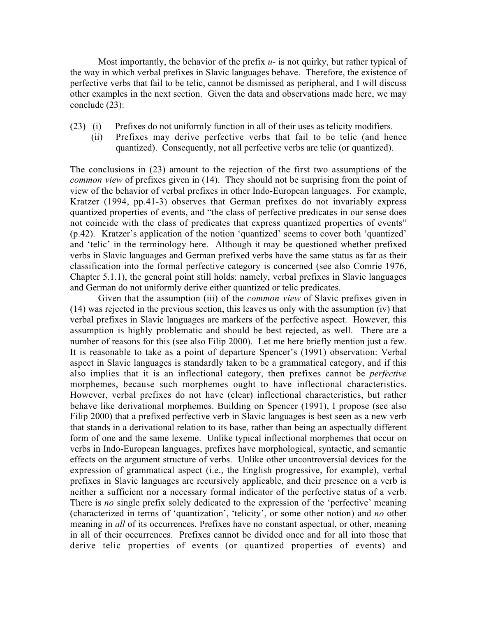Most importantly, the behavior of the prefix  $u$ - is not quirky, but rather typical of the way in which verbal prefixes in Slavic languages behave. Therefore, the existence of perfective verbs that fail to be telic, cannot be dismissed as peripheral, and I will discuss other examples in the next section. Given the data and observations made here, we may conclude (23):

- (23) (i) Prefixes do not uniformly function in all of their uses as telicity modifiers.
	- (ii) Prefixes may derive perfective verbs that fail to be telic (and hence quantized). Consequently, not all perfective verbs are telic (or quantized).

The conclusions in (23) amount to the rejection of the first two assumptions of the common view of prefixes given in (14). They should not be surprising from the point of view of the behavior of verbal prefixes in other Indo-European languages. For example, Kratzer (1994, pp.41-3) observes that German prefixes do not invariably express quantized properties of events, and "the class of perfective predicates in our sense does not coincide with the class of predicates that express quantized properties of events" (p.42). Kratzer's application of the notion 'quantized' seems to cover both 'quantized' and 'telic' in the terminology here. Although it may be questioned whether prefixed verbs in Slavic languages and German prefixed verbs have the same status as far as their classification into the formal perfective category is concerned (see also Comrie 1976, Chapter 5.1.1), the general point still holds: namely, verbal prefixes in Slavic languages and German do not uniformly derive either quantized or telic predicates.

Given that the assumption (iii) of the *common view* of Slavic prefixes given in (14) was rejected in the previous section, this leaves us only with the assumption (iv) that verbal prefixes in Slavic languages are markers of the perfective aspect. However, this assumption is highly problematic and should be best rejected, as well. There are a number of reasons for this (see also Filip 2000). Let me here briefly mention just a few. It is reasonable to take as a point of departure Spencer's (1991) observation: Verbal aspect in Slavic languages is standardly taken to be a grammatical category, and if this also implies that it is an inflectional category, then prefixes cannot be perfective morphemes, because such morphemes ought to have inflectional characteristics. However, verbal prefixes do not have (clear) inflectional characteristics, but rather behave like derivational morphemes. Building on Spencer (1991), I propose (see also Filip 2000) that a prefixed perfective verb in Slavic languages is best seen as a new verb that stands in a derivational relation to its base, rather than being an aspectually different form of one and the same lexeme. Unlike typical inflectional morphemes that occur on verbs in Indo-European languages, prefixes have morphological, syntactic, and semantic effects on the argument structure of verbs. Unlike other uncontroversial devices for the expression of grammatical aspect (i.e., the English progressive, for example), verbal prefixes in Slavic languages are recursively applicable, and their presence on a verb is neither a sufficient nor a necessary formal indicator of the perfective status of a verb. There is no single prefix solely dedicated to the expression of the 'perfective' meaning (characterized in terms of 'quantization', 'telicity', or some other notion) and no other meaning in *all* of its occurrences. Prefixes have no constant aspectual, or other, meaning in all of their occurrences. Prefixes cannot be divided once and for all into those that derive telic properties of events (or quantized properties of events) and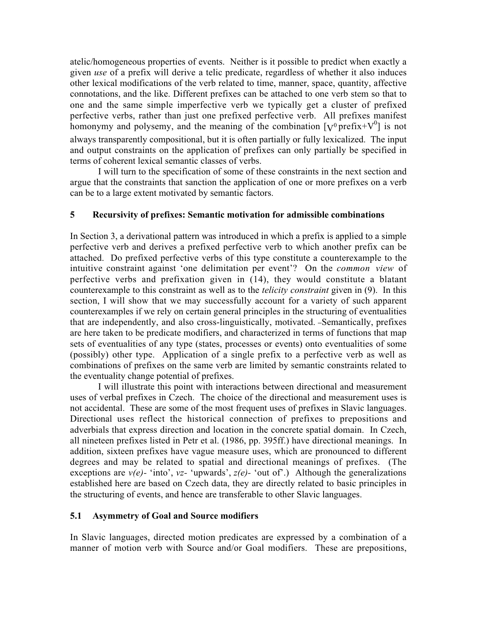atelic/homogeneous properties of events. Neither is it possible to predict when exactly a given use of a prefix will derive a telic predicate, regardless of whether it also induces other lexical modifications of the verb related to time, manner, space, quantity, affective connotations, and the like. Different prefixes can be attached to one verb stem so that to one and the same simple imperfective verb we typically get a cluster of prefixed perfective verbs, rather than just one prefixed perfective verb. All prefixes manifest homonymy and polysemy, and the meaning of the combination  $[\gamma^0 \text{prefix} + V^0]$  is not always transparently compositional, but it is often partially or fully lexicalized. The input and output constraints on the application of prefixes can only partially be specified in terms of coherent lexical semantic classes of verbs.

I will turn to the specification of some of these constraints in the next section and argue that the constraints that sanction the application of one or more prefixes on a verb can be to a large extent motivated by semantic factors.

# 5 Recursivity of prefixes: Semantic motivation for admissible combinations

In Section 3, a derivational pattern was introduced in which a prefix is applied to a simple perfective verb and derives a prefixed perfective verb to which another prefix can be attached. Do prefixed perfective verbs of this type constitute a counterexample to the intuitive constraint against 'one delimitation per event'? On the common view of perfective verbs and prefixation given in (14), they would constitute a blatant counterexample to this constraint as well as to the *telicity constraint* given in (9). In this section, I will show that we may successfully account for a variety of such apparent counterexamples if we rely on certain general principles in the structuring of eventualities that are independently, and also cross-linguistically, motivated. Semantically, prefixes are here taken to be predicate modifiers, and characterized in terms of functions that map sets of eventualities of any type (states, processes or events) onto eventualities of some (possibly) other type. Application of a single prefix to a perfective verb as well as combinations of prefixes on the same verb are limited by semantic constraints related to the eventuality change potential of prefixes.

I will illustrate this point with interactions between directional and measurement uses of verbal prefixes in Czech. The choice of the directional and measurement uses is not accidental. These are some of the most frequent uses of prefixes in Slavic languages. Directional uses reflect the historical connection of prefixes to prepositions and adverbials that express direction and location in the concrete spatial domain. In Czech, all nineteen prefixes listed in Petr et al. (1986, pp. 395ff.) have directional meanings. In addition, sixteen prefixes have vague measure uses, which are pronounced to different degrees and may be related to spatial and directional meanings of prefixes. (The exceptions are  $v(e)$ - 'into', vz- 'upwards',  $z(e)$ - 'out of'.) Although the generalizations established here are based on Czech data, they are directly related to basic principles in the structuring of events, and hence are transferable to other Slavic languages.

## 5.1 Asymmetry of Goal and Source modifiers

In Slavic languages, directed motion predicates are expressed by a combination of a manner of motion verb with Source and/or Goal modifiers. These are prepositions,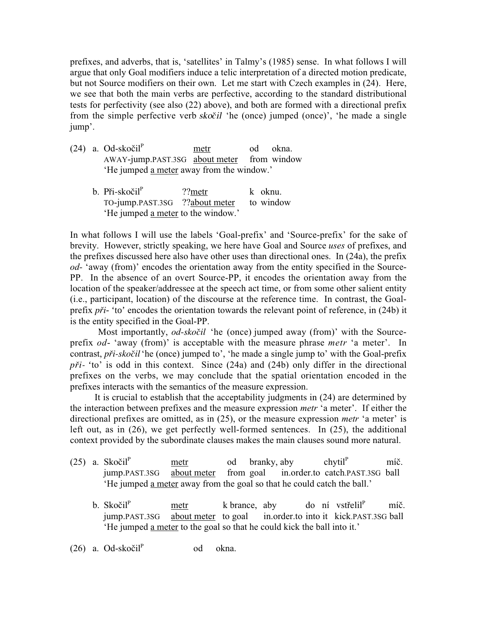prefixes, and adverbs, that is, 'satellites' in Talmy's (1985) sense. In what follows I will argue that only Goal modifiers induce a telic interpretation of a directed motion predicate, but not Source modifiers on their own. Let me start with Czech examples in (24). Here, we see that both the main verbs are perfective, according to the standard distributional tests for perfectivity (see also (22) above), and both are formed with a directional prefix from the simple perfective verb sko*ã*il 'he (once) jumped (once)', 'he made a single jump'.

- (24) a. Od-skoãilP metr od okna. AWAY-jump.PAST.3SG about meter from window 'He jumped a meter away from the window.'
	- b. Při-skočil<sup>P</sup> ??metr k oknu. TO-jump.PAST.3SG ??about meter to window 'He jumped a meter to the window.'

In what follows I will use the labels 'Goal-prefix' and 'Source-prefix' for the sake of brevity. However, strictly speaking, we here have Goal and Source uses of prefixes, and the prefixes discussed here also have other uses than directional ones. In (24a), the prefix od- 'away (from)' encodes the orientation away from the entity specified in the Source-PP. In the absence of an overt Source-PP, it encodes the orientation away from the location of the speaker/addressee at the speech act time, or from some other salient entity (i.e., participant, location) of the discourse at the reference time. In contrast, the Goalprefix *pfii-* 'to' encodes the orientation towards the relevant point of reference, in (24b) it is the entity specified in the Goal-PP.

Most importantly, od-*skoãil* 'he (once) jumped away (from)' with the Sourceprefix od- 'away (from)' is acceptable with the measure phrase metr 'a meter'. In contrast, *pfii-skoãil*'he (once) jumped to', 'he made a single jump to' with the Goal-prefix *pfii-* 'to' is odd in this context. Since (24a) and (24b) only differ in the directional prefixes on the verbs, we may conclude that the spatial orientation encoded in the prefixes interacts with the semantics of the measure expression.

It is crucial to establish that the acceptability judgments in (24) are determined by the interaction between prefixes and the measure expression metr 'a meter'. If either the directional prefixes are omitted, as in (25), or the measure expression *metr* 'a meter' is left out, as in (26), we get perfectly well-formed sentences. In (25), the additional context provided by the subordinate clauses makes the main clauses sound more natural.

- (25) a. Skočil<sup>P</sup> metr od branky, aby  $chvtil<sup>P</sup>$  míã. jump.PAST.3SG about meter from goal in.order.to catch.PAST.3SG ball 'He jumped a meter away from the goal so that he could catch the ball.'
	- b. Skočil $P$  metr k brance, aby do ní vstřelil $P$  míã. jump.PAST.3SG about meter to goal in.order.to into it kick.PAST.3SG ball 'He jumped a meter to the goal so that he could kick the ball into it.'
- $(26)$  a. Od-skočil<sup>P</sup> od okna.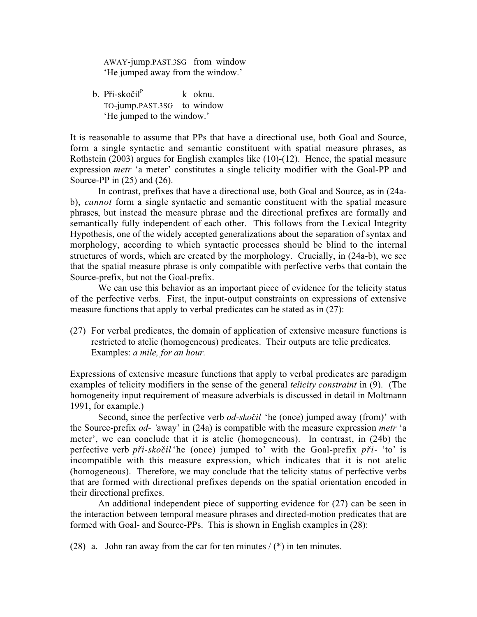AWAY-jump.PAST.3SG from window 'He jumped away from the window.'

b. Při-skočil $P$  k oknu. TO-jump.PAST.3SG to window 'He jumped to the window.'

It is reasonable to assume that PPs that have a directional use, both Goal and Source, form a single syntactic and semantic constituent with spatial measure phrases, as Rothstein (2003) argues for English examples like (10)-(12). Hence, the spatial measure expression metr 'a meter' constitutes a single telicity modifier with the Goal-PP and Source-PP in  $(25)$  and  $(26)$ .

In contrast, prefixes that have a directional use, both Goal and Source, as in (24ab), cannot form a single syntactic and semantic constituent with the spatial measure phrases, but instead the measure phrase and the directional prefixes are formally and semantically fully independent of each other. This follows from the Lexical Integrity Hypothesis, one of the widely accepted generalizations about the separation of syntax and morphology, according to which syntactic processes should be blind to the internal structures of words, which are created by the morphology. Crucially, in (24a-b), we see that the spatial measure phrase is only compatible with perfective verbs that contain the Source-prefix, but not the Goal-prefix.

We can use this behavior as an important piece of evidence for the telicity status of the perfective verbs. First, the input-output constraints on expressions of extensive measure functions that apply to verbal predicates can be stated as in (27):

(27) For verbal predicates, the domain of application of extensive measure functions is restricted to atelic (homogeneous) predicates. Their outputs are telic predicates. Examples: a mile, for an hour.

Expressions of extensive measure functions that apply to verbal predicates are paradigm examples of telicity modifiers in the sense of the general *telicity constraint* in (9). (The homogeneity input requirement of measure adverbials is discussed in detail in Moltmann 1991, for example.)

Second, since the perfective verb *od-skočil* 'he (once) jumped away (from)' with the Source-prefix *od*- 'away' in  $(24a)$  is compatible with the measure expression *metr* 'a meter', we can conclude that it is atelic (homogeneous). In contrast, in (24b) the perfective verb *pfii-skoãil* 'he (once) jumped to' with the Goal-prefix *pfii-* 'to' is incompatible with this measure expression, which indicates that it is not atelic (homogeneous). Therefore, we may conclude that the telicity status of perfective verbs that are formed with directional prefixes depends on the spatial orientation encoded in their directional prefixes.

An additional independent piece of supporting evidence for (27) can be seen in the interaction between temporal measure phrases and directed-motion predicates that are formed with Goal- and Source-PPs. This is shown in English examples in (28):

(28) a. John ran away from the car for ten minutes  $/(*)$  in ten minutes.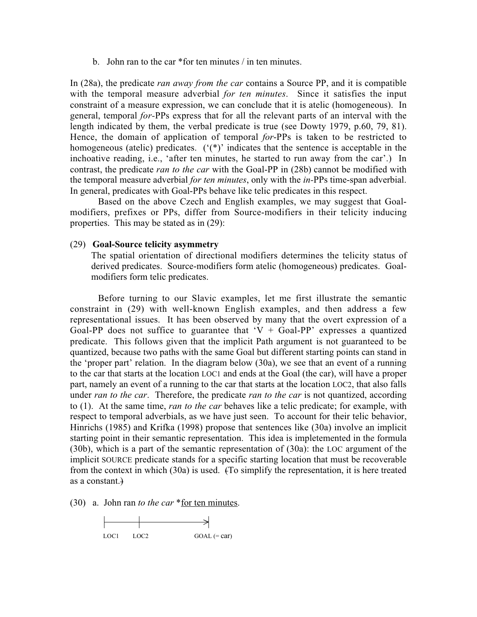b. John ran to the car \*for ten minutes / in ten minutes.

In (28a), the predicate *ran away from the car* contains a Source PP, and it is compatible with the temporal measure adverbial for ten minutes. Since it satisfies the input constraint of a measure expression, we can conclude that it is atelic (homogeneous). In general, temporal for-PPs express that for all the relevant parts of an interval with the length indicated by them, the verbal predicate is true (see Dowty 1979, p.60, 79, 81). Hence, the domain of application of temporal for-PPs is taken to be restricted to homogeneous (atelic) predicates. ('(\*)' indicates that the sentence is acceptable in the inchoative reading, i.e., 'after ten minutes, he started to run away from the car'.) In contrast, the predicate *ran to the car* with the Goal-PP in (28b) cannot be modified with the temporal measure adverbial *for ten minutes*, only with the *in*-PPs time-span adverbial. In general, predicates with Goal-PPs behave like telic predicates in this respect.

Based on the above Czech and English examples, we may suggest that Goalmodifiers, prefixes or PPs, differ from Source-modifiers in their telicity inducing properties. This may be stated as in (29):

#### (29) Goal-Source telicity asymmetry

The spatial orientation of directional modifiers determines the telicity status of derived predicates. Source-modifiers form atelic (homogeneous) predicates. Goalmodifiers form telic predicates.

Before turning to our Slavic examples, let me first illustrate the semantic constraint in (29) with well-known English examples, and then address a few representational issues. It has been observed by many that the overt expression of a Goal-PP does not suffice to guarantee that  $V +$  Goal-PP' expresses a quantized predicate. This follows given that the implicit Path argument is not guaranteed to be quantized, because two paths with the same Goal but different starting points can stand in the 'proper part' relation. In the diagram below (30a), we see that an event of a running to the car that starts at the location LOC1 and ends at the Goal (the car), will have a proper part, namely an event of a running to the car that starts at the location LOC2, that also falls under ran to the car. Therefore, the predicate ran to the car is not quantized, according to (1). At the same time, ran to the car behaves like a telic predicate; for example, with respect to temporal adverbials, as we have just seen. To account for their telic behavior, Hinrichs (1985) and Krifka (1998) propose that sentences like (30a) involve an implicit starting point in their semantic representation. This idea is impletemented in the formula (30b), which is a part of the semantic representation of (30a): the LOC argument of the implicit SOURCE predicate stands for a specific starting location that must be recoverable from the context in which (30a) is used. (To simplify the representation, it is here treated as a constant.)

(30) a. John ran to the car \*for ten minutes.

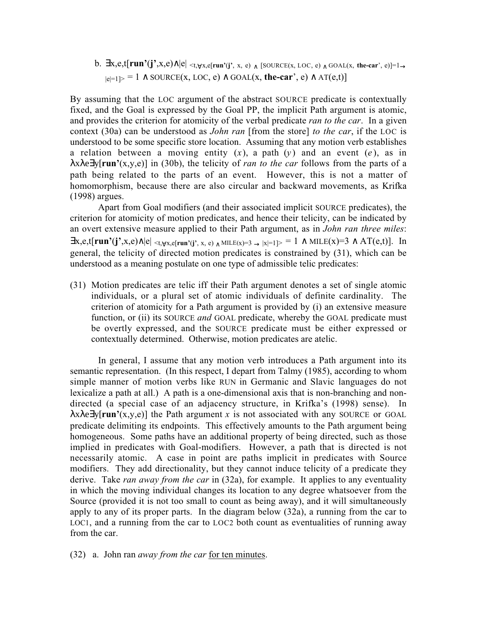b.  $\exists x, e, t[run'(j', x, e) \land |e| \leq t, \forall x, e[run'(i', x, e) \land [SOURCE(x, LOC, e) \land GOAL(x, the-car', e)] = 1 \rightarrow$  $|e|=1$  ∧ SOURCE(x, LOC, e) ∧ GOAL(x, the-car', e) ∧ AT(e,t)]

By assuming that the LOC argument of the abstract SOURCE predicate is contextually fixed, and the Goal is expressed by the Goal PP, the implicit Path argument is atomic, and provides the criterion for atomicity of the verbal predicate *ran to the car*. In a given context (30a) can be understood as *John ran* [from the store] to the car, if the LOC is understood to be some specific store location. Assuming that any motion verb establishes a relation between a moving entity  $(x)$ , a path  $(y)$  and an event  $(e)$ , as in  $\lambda x \lambda e \exists y$ [run'(x,y,e)] in (30b), the telicity of *ran to the car* follows from the parts of a path being related to the parts of an event. However, this is not a matter of homomorphism, because there are also circular and backward movements, as Krifka (1998) argues.

Apart from Goal modifiers (and their associated implicit SOURCE predicates), the criterion for atomicity of motion predicates, and hence their telicity, can be indicated by an overt extensive measure applied to their Path argument, as in John ran three miles:  $\exists x, e, t$ [run'(j',x,e)∧|e| <t,  $\forall x, e$ [run'(j', x, e) ∧ MILE(x)=3 → |x|=1]> = 1 ∧ MILE(x)=3 ∧ AT(e,t)]. In general, the telicity of directed motion predicates is constrained by (31), which can be understood as a meaning postulate on one type of admissible telic predicates:

(31) Motion predicates are telic iff their Path argument denotes a set of single atomic individuals, or a plural set of atomic individuals of definite cardinality. The criterion of atomicity for a Path argument is provided by (i) an extensive measure function, or (ii) its SOURCE and GOAL predicate, whereby the GOAL predicate must be overtly expressed, and the SOURCE predicate must be either expressed or contextually determined. Otherwise, motion predicates are atelic.

In general, I assume that any motion verb introduces a Path argument into its semantic representation. (In this respect, I depart from Talmy (1985), according to whom simple manner of motion verbs like RUN in Germanic and Slavic languages do not lexicalize a path at all.) A path is a one-dimensional axis that is non-branching and nondirected (a special case of an adjacency structure, in Krifka's (1998) sense). In  $\lambda x \lambda e \exists y$ [run'(x,y,e)] the Path argument x is not associated with any SOURCE or GOAL predicate delimiting its endpoints. This effectively amounts to the Path argument being homogeneous. Some paths have an additional property of being directed, such as those implied in predicates with Goal-modifiers. However, a path that is directed is not necessarily atomic. A case in point are paths implicit in predicates with Source modifiers. They add directionality, but they cannot induce telicity of a predicate they derive. Take *ran away from the car* in (32a), for example. It applies to any eventuality in which the moving individual changes its location to any degree whatsoever from the Source (provided it is not too small to count as being away), and it will simultaneously apply to any of its proper parts. In the diagram below (32a), a running from the car to LOC1, and a running from the car to LOC2 both count as eventualities of running away from the car.

(32) a. John ran away from the car for ten minutes.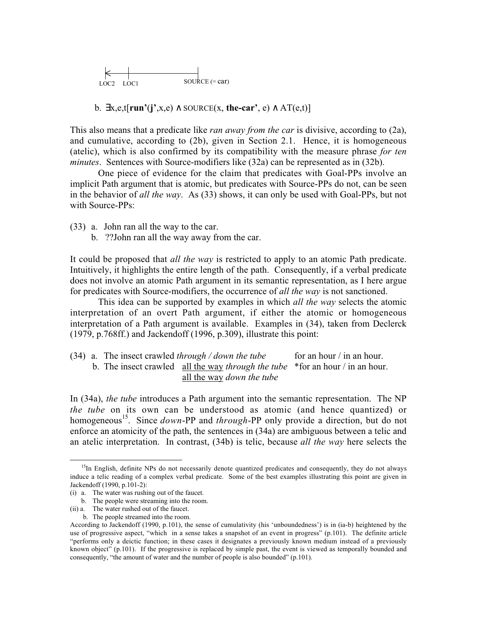

b.  $\exists x, e, t$ [run'(j',x,e) ∧ SOURCE(x, the-car', e) ∧ AT(e,t)]

This also means that a predicate like *ran away from the car* is divisive, according to (2a), and cumulative, according to (2b), given in Section 2.1. Hence, it is homogeneous (atelic), which is also confirmed by its compatibility with the measure phrase for ten minutes. Sentences with Source-modifiers like (32a) can be represented as in (32b).

One piece of evidence for the claim that predicates with Goal-PPs involve an implicit Path argument that is atomic, but predicates with Source-PPs do not, can be seen in the behavior of *all the way*. As (33) shows, it can only be used with Goal-PPs, but not with Source-PPs:

- (33) a. John ran all the way to the car.
	- b. ??John ran all the way away from the car.

It could be proposed that *all the way* is restricted to apply to an atomic Path predicate. Intuitively, it highlights the entire length of the path. Consequently, if a verbal predicate does not involve an atomic Path argument in its semantic representation, as I here argue for predicates with Source-modifiers, the occurrence of all the way is not sanctioned.

This idea can be supported by examples in which *all the way* selects the atomic interpretation of an overt Path argument, if either the atomic or homogeneous interpretation of a Path argument is available. Examples in (34), taken from Declerck (1979, p.768ff.) and Jackendoff (1996, p.309), illustrate this point:

(34) a. The insect crawled through / down the tube for an hour / in an hour. b. The insect crawled all the way *through the tube*  $*$  for an hour / in an hour. all the way down the tube

In (34a), the tube introduces a Path argument into the semantic representation. The NP the tube on its own can be understood as atomic (and hence quantized) or homogeneous<sup>15</sup>. Since *down*-PP and *through*-PP only provide a direction, but do not enforce an atomicity of the path, the sentences in (34a) are ambiguous between a telic and an atelic interpretation. In contrast, (34b) is telic, because all the way here selects the

 $\overline{a}$ 

<sup>&</sup>lt;sup>15</sup>In English, definite NPs do not necessarily denote quantized predicates and consequently, they do not always induce a telic reading of a complex verbal predicate. Some of the best examples illustrating this point are given in Jackendoff (1990, p.101-2):

<sup>(</sup>i) a. The water was rushing out of the faucet.

b. The people were streaming into the room.

<sup>(</sup>ii) a. The water rushed out of the faucet.

b. The people streamed into the room.

According to Jackendoff (1990, p.101), the sense of cumulativity (his 'unboundedness') is in (ia-b) heightened by the use of progressive aspect, "which in a sense takes a snapshot of an event in progress" (p.101). The definite article "performs only a deictic function; in these cases it designates a previously known medium instead of a previously known object" (p.101). If the progressive is replaced by simple past, the event is viewed as temporally bounded and consequently, "the amount of water and the number of people is also bounded" (p.101).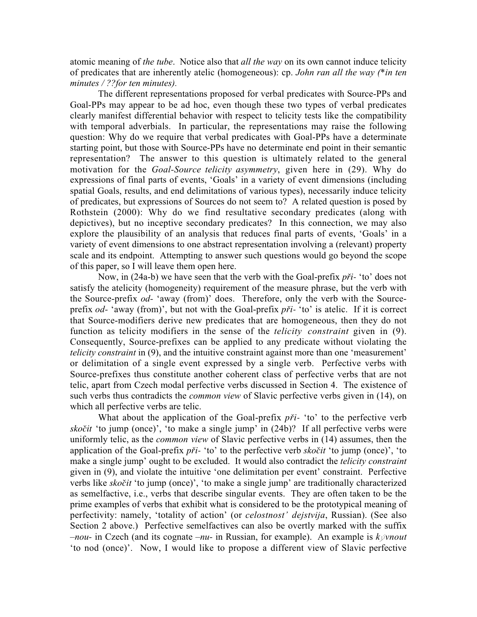atomic meaning of the tube. Notice also that all the way on its own cannot induce telicity of predicates that are inherently atelic (homogeneous): cp. John ran all the way (\*in ten minutes / ??for ten minutes).

The different representations proposed for verbal predicates with Source-PPs and Goal-PPs may appear to be ad hoc, even though these two types of verbal predicates clearly manifest differential behavior with respect to telicity tests like the compatibility with temporal adverbials. In particular, the representations may raise the following question: Why do we require that verbal predicates with Goal-PPs have a determinate starting point, but those with Source-PPs have no determinate end point in their semantic representation? The answer to this question is ultimately related to the general motivation for the *Goal-Source telicity asymmetry*, given here in (29). Why do expressions of final parts of events, 'Goals' in a variety of event dimensions (including spatial Goals, results, and end delimitations of various types), necessarily induce telicity of predicates, but expressions of Sources do not seem to? A related question is posed by Rothstein (2000): Why do we find resultative secondary predicates (along with depictives), but no inceptive secondary predicates? In this connection, we may also explore the plausibility of an analysis that reduces final parts of events, 'Goals' in a variety of event dimensions to one abstract representation involving a (relevant) property scale and its endpoint. Attempting to answer such questions would go beyond the scope of this paper, so I will leave them open here.

Now, in (24a-b) we have seen that the verb with the Goal-prefix *pfii-* 'to' does not satisfy the atelicity (homogeneity) requirement of the measure phrase, but the verb with the Source-prefix od- 'away (from)' does. Therefore, only the verb with the Sourceprefix od- 'away (from)', but not with the Goal-prefix *pfii-* 'to' is atelic. If it is correct that Source-modifiers derive new predicates that are homogeneous, then they do not function as telicity modifiers in the sense of the *telicity constraint* given in (9). Consequently, Source-prefixes can be applied to any predicate without violating the telicity constraint in (9), and the intuitive constraint against more than one 'measurement' or delimitation of a single event expressed by a single verb. Perfective verbs with Source-prefixes thus constitute another coherent class of perfective verbs that are not telic, apart from Czech modal perfective verbs discussed in Section 4. The existence of such verbs thus contradicts the *common view* of Slavic perfective verbs given in (14), on which all perfective verbs are telic.

What about the application of the Goal-prefix *pr*<sup>i</sup>- 'to' to the perfective verb *skoãit* 'to jump (once)', 'to make a single jump' in (24b)? If all perfective verbs were uniformly telic, as the common view of Slavic perfective verbs in (14) assumes, then the application of the Goal-prefix *pfii-* 'to' to the perfective verb sko*ã*it 'to jump (once)', 'to make a single jump' ought to be excluded. It would also contradict the *telicity constraint* given in (9), and violate the intuitive 'one delimitation per event' constraint. Perfective verbs like *skoãit* 'to jump (once)', 'to make a single jump' are traditionally characterized as semelfactive, i.e., verbs that describe singular events. They are often taken to be the prime examples of verbs that exhibit what is considered to be the prototypical meaning of perfectivity: namely, 'totality of action' (or *celostnost' dejstvija*, Russian). (See also Section 2 above.) Perfective semelfactives can also be overtly marked with the suffix  $-nou-$  in Czech (and its cognate  $-nu-$  in Russian, for example). An example is  $k\dot{\varphi}$ *nout* 'to nod (once)'. Now, I would like to propose a different view of Slavic perfective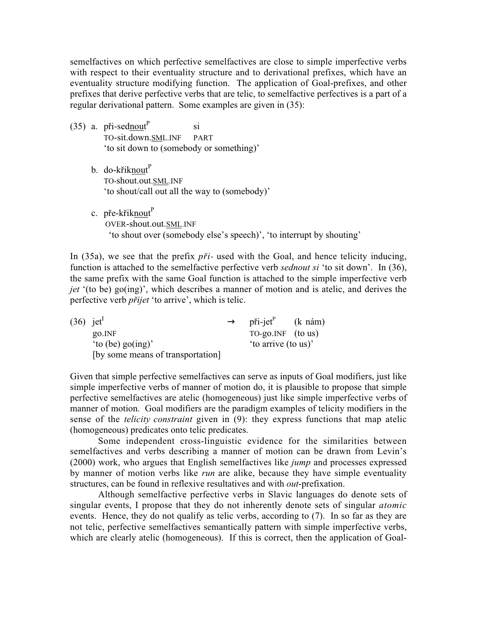semelfactives on which perfective semelfactives are close to simple imperfective verbs with respect to their eventuality structure and to derivational prefixes, which have an eventuality structure modifying function. The application of Goal-prefixes, and other prefixes that derive perfective verbs that are telic, to semelfactive perfectives is a part of a regular derivational pattern. Some examples are given in (35):

- $(35)$  a. při-sednout<sup>P</sup> si TO-sit.down.SML.INF PART 'to sit down to (somebody or something)'
	- b. do-křiknout<sup>P</sup> TO-shout.out.SML.INF 'to shout/call out all the way to (somebody)'
	- c. pře-křiknout $P$  OVER-shout.out.SML.INF 'to shout over (somebody else's speech)', 'to interrupt by shouting'

In (35a), we see that the prefix *při*- used with the Goal, and hence telicity inducing, function is attached to the semelfactive perfective verb *sednout si* 'to sit down'. In (36), the same prefix with the same Goal function is attached to the simple imperfective verb jet '(to be) go(ing)', which describes a manner of motion and is atelic, and derives the perfective verb p*fii*jet 'to arrive', which is telic.

| $(36)$ jet <sup>1</sup> |                                   | $\rightarrow$ při-jet <sup>P</sup> (k nám) |  |
|-------------------------|-----------------------------------|--------------------------------------------|--|
|                         | go. INF                           | $TO-go.NF$ (to us)                         |  |
|                         | 'to (be) $\text{go}(ing)$ '       | 'to arrive (to us)'                        |  |
|                         | [by some means of transportation] |                                            |  |

Given that simple perfective semelfactives can serve as inputs of Goal modifiers, just like simple imperfective verbs of manner of motion do, it is plausible to propose that simple perfective semelfactives are atelic (homogeneous) just like simple imperfective verbs of manner of motion. Goal modifiers are the paradigm examples of telicity modifiers in the sense of the *telicity constraint* given in (9): they express functions that map atelic (homogeneous) predicates onto telic predicates.

Some independent cross-linguistic evidence for the similarities between semelfactives and verbs describing a manner of motion can be drawn from Levin's (2000) work, who argues that English semelfactives like jump and processes expressed by manner of motion verbs like *run* are alike, because they have simple eventuality structures, can be found in reflexive resultatives and with *out*-prefixation.

Although semelfactive perfective verbs in Slavic languages do denote sets of singular events, I propose that they do not inherently denote sets of singular atomic events. Hence, they do not qualify as telic verbs, according to (7). In so far as they are not telic, perfective semelfactives semantically pattern with simple imperfective verbs, which are clearly atelic (homogeneous). If this is correct, then the application of Goal-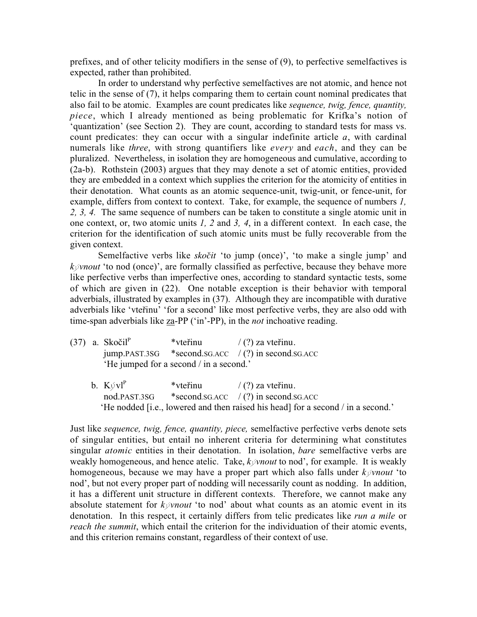prefixes, and of other telicity modifiers in the sense of (9), to perfective semelfactives is expected, rather than prohibited.

In order to understand why perfective semelfactives are not atomic, and hence not telic in the sense of (7), it helps comparing them to certain count nominal predicates that also fail to be atomic. Examples are count predicates like sequence, twig, fence, quantity, piece, which I already mentioned as being problematic for Krifka's notion of 'quantization' (see Section 2). They are count, according to standard tests for mass vs. count predicates: they can occur with a singular indefinite article  $a$ , with cardinal numerals like *three*, with strong quantifiers like *every* and *each*, and they can be pluralized. Nevertheless, in isolation they are homogeneous and cumulative, according to (2a-b). Rothstein (2003) argues that they may denote a set of atomic entities, provided they are embedded in a context which supplies the criterion for the atomicity of entities in their denotation. What counts as an atomic sequence-unit, twig-unit, or fence-unit, for example, differs from context to context. Take, for example, the sequence of numbers 1, 2, 3, 4. The same sequence of numbers can be taken to constitute a single atomic unit in one context, or, two atomic units 1, 2 and 3, 4, in a different context. In each case, the criterion for the identification of such atomic units must be fully recoverable from the given context.

Semelfactive verbs like *skočit* 'to jump (once)', 'to make a single jump' and  $k\check{\varphi}$ *nout* 'to nod (once)', are formally classified as perfective, because they behave more like perfective verbs than imperfective ones, according to standard syntactic tests, some of which are given in (22). One notable exception is their behavior with temporal adverbials, illustrated by examples in (37). Although they are incompatible with durative adverbials like 'vtefiinu' 'for a second' like most perfective verbs, they are also odd with time-span adverbials like za-PP ('in'-PP), in the *not* inchoative reading.

|  | $(37)$ a. Skočil <sup>P</sup> | *vteřinu                                | $\frac{1}{2}$ (?) za vteřinu.                        |
|--|-------------------------------|-----------------------------------------|------------------------------------------------------|
|  |                               |                                         | $jump.PAST.3SG$ *second.sg.acc /(?) in second.sg.acc |
|  |                               | 'He jumped for a second / in a second.' |                                                      |

b.  $K\psi vI^P$  \*vtertinu / (?) za vtertinu. nod.PAST.3SG \*second.SG.ACC / (?) in second.SG.ACC 'He nodded [i.e., lowered and then raised his head] for a second / in a second.'

Just like sequence, twig, fence, quantity, piece, semelfactive perfective verbs denote sets of singular entities, but entail no inherent criteria for determining what constitutes singular *atomic* entities in their denotation. In isolation, *bare* semelfactive verbs are weakly homogeneous, and hence atelic. Take,  $k\swarrow w$  to nod', for example. It is weakly homogeneous, because we may have a proper part which also falls under  $k\dot{\varphi}$ *mout* 'to nod', but not every proper part of nodding will necessarily count as nodding. In addition, it has a different unit structure in different contexts. Therefore, we cannot make any absolute statement for  $k\dot{\varphi}$ *nout* 'to nod' about what counts as an atomic event in its denotation. In this respect, it certainly differs from telic predicates like run a mile or reach the summit, which entail the criterion for the individuation of their atomic events, and this criterion remains constant, regardless of their context of use.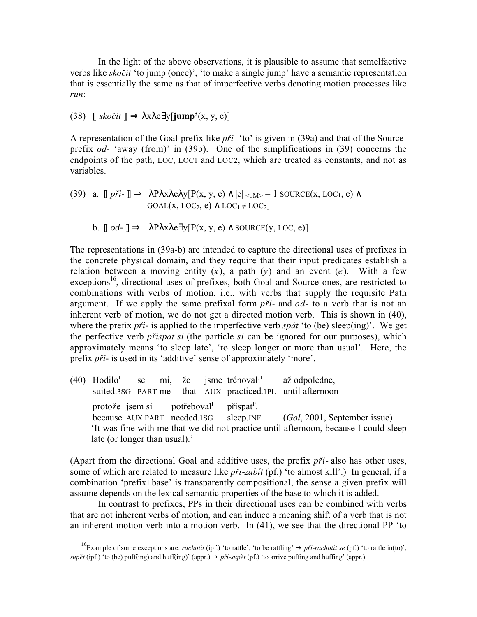In the light of the above observations, it is plausible to assume that semelfactive verbs like *skoãit* 'to jump (once)', 'to make a single jump' have a semantic representation that is essentially the same as that of imperfective verbs denoting motion processes like run:

(38)  $\parallel$  *skočit*  $\parallel \Rightarrow \lambda x \lambda e \exists y$ [**jump'**(x, y, e)]

A representation of the Goal-prefix like *pfii-* 'to' is given in (39a) and that of the Sourceprefix od- 'away (from)' in (39b). One of the simplifications in (39) concerns the endpoints of the path, LOC, LOC1 and LOC2, which are treated as constants, and not as variables.

(39) a. 
$$
\llbracket p \check{r}i \cdot \rrbracket \Rightarrow \lambda P \lambda x \lambda e \lambda y [P(x, y, e) \land |e| \prec_{t, M>} = 1 \text{ SOLC}(x, LOC_1, e) \land \text{GOAL}(x, LOC_2, e) \land LOC_1 \neq LOC_2 \rrbracket
$$

b. 
$$
\llbracket od - \rrbracket \Rightarrow \lambda P \lambda x \lambda e \exists y [P(x, y, e) \land \text{SOURCE}(y, \text{LOC}, e)]
$$

The representations in (39a-b) are intended to capture the directional uses of prefixes in the concrete physical domain, and they require that their input predicates establish a relation between a moving entity  $(x)$ , a path  $(y)$  and an event  $(e)$ . With a few exceptions<sup>16</sup>, directional uses of prefixes, both Goal and Source ones, are restricted to combinations with verbs of motion, i.e., with verbs that supply the requisite Path argument. If we apply the same prefixal form *pfii-* and od- to a verb that is not an inherent verb of motion, we do not get a directed motion verb. This is shown in (40), where the prefix *při*<sup>*-*</sup> is applied to the imperfective verb *spát* 'to (be) sleep(ing)'. We get the perfective verb p*fi*ispat si (the particle si can be ignored for our purposes), which approximately means 'to sleep late', 'to sleep longer or more than usual'. Here, the prefix *pfii-* is used in its 'additive' sense of approximately 'more'.

(40) Hodilo<sup>I</sup> se mi, že jsme trénovali<sup>I</sup> až odpoledne, suited.3SG PART me that AUX practiced.1PL until afternoon protože jsem si potřeboval $I<sup>I</sup>$ přispat<sup>P</sup>. because AUX PART needed.1SG sleep.INF (Gol, 2001, September issue) 'It was fine with me that we did not practice until afternoon, because I could sleep late (or longer than usual).'

(Apart from the directional Goal and additive uses, the prefix *pfii*- also has other uses, some of which are related to measure like *při-zabit* (pf.) 'to almost kill'.) In general, if a combination 'prefix+base' is transparently compositional, the sense a given prefix will assume depends on the lexical semantic properties of the base to which it is added.

In contrast to prefixes, PPs in their directional uses can be combined with verbs that are not inherent verbs of motion, and can induce a meaning shift of a verb that is not an inherent motion verb into a motion verb. In (41), we see that the directional PP 'to

<sup>&</sup>lt;sup>16</sup>Example of some exceptions are: *rachotit* (ipf.) 'to rattle', 'to be rattling'  $\rightarrow$  *při-rachotit se* (pf.) 'to rattle in(to)', *supût* (ipf.) 'to (be) puff(ing) and huff(ing)' (appr.) → *pfii-supût* (pf.) 'to arrive puffing and huffing' (appr.).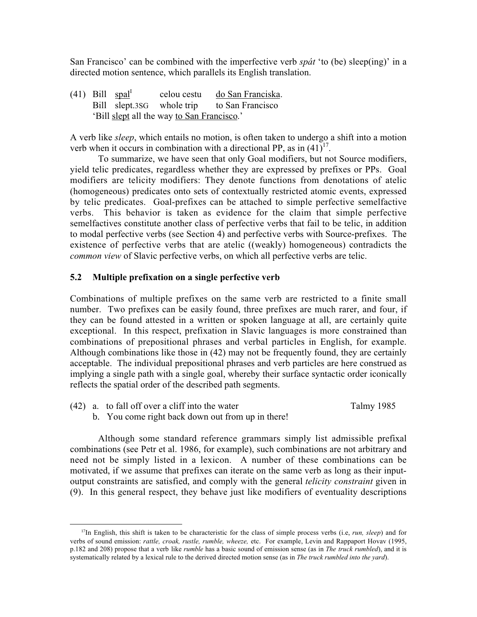San Francisco' can be combined with the imperfective verb spát 'to (be) sleep(ing)' in a directed motion sentence, which parallels its English translation.

(41) Bill spal<sup>I</sup> celou cestu do San Franciska. Bill slept.3SG whole trip to San Francisco 'Bill slept all the way to San Francisco.'

A verb like sleep, which entails no motion, is often taken to undergo a shift into a motion verb when it occurs in combination with a directional PP, as in  $(41)^{17}$ .

To summarize, we have seen that only Goal modifiers, but not Source modifiers, yield telic predicates, regardless whether they are expressed by prefixes or PPs. Goal modifiers are telicity modifiers: They denote functions from denotations of atelic (homogeneous) predicates onto sets of contextually restricted atomic events, expressed by telic predicates. Goal-prefixes can be attached to simple perfective semelfactive verbs. This behavior is taken as evidence for the claim that simple perfective semelfactives constitute another class of perfective verbs that fail to be telic, in addition to modal perfective verbs (see Section 4) and perfective verbs with Source-prefixes. The existence of perfective verbs that are atelic ((weakly) homogeneous) contradicts the common view of Slavic perfective verbs, on which all perfective verbs are telic.

# 5.2 Multiple prefixation on a single perfective verb

Combinations of multiple prefixes on the same verb are restricted to a finite small number. Two prefixes can be easily found, three prefixes are much rarer, and four, if they can be found attested in a written or spoken language at all, are certainly quite exceptional. In this respect, prefixation in Slavic languages is more constrained than combinations of prepositional phrases and verbal particles in English, for example. Although combinations like those in (42) may not be frequently found, they are certainly acceptable. The individual prepositional phrases and verb particles are here construed as implying a single path with a single goal, whereby their surface syntactic order iconically reflects the spatial order of the described path segments.

- (42) a. to fall off over a cliff into the water Talmy 1985
	- b. You come right back down out from up in there!

Although some standard reference grammars simply list admissible prefixal combinations (see Petr et al. 1986, for example), such combinations are not arbitrary and need not be simply listed in a lexicon. A number of these combinations can be motivated, if we assume that prefixes can iterate on the same verb as long as their inputoutput constraints are satisfied, and comply with the general telicity constraint given in (9). In this general respect, they behave just like modifiers of eventuality descriptions

<sup>&</sup>lt;sup>17</sup>In English, this shift is taken to be characteristic for the class of simple process verbs (i.e, *run, sleep*) and for verbs of sound emission: rattle, croak, rustle, rumble, wheeze, etc. For example, Levin and Rappaport Hovav (1995, p.182 and 208) propose that a verb like *rumble* has a basic sound of emission sense (as in *The truck rumbled*), and it is systematically related by a lexical rule to the derived directed motion sense (as in The truck rumbled into the yard).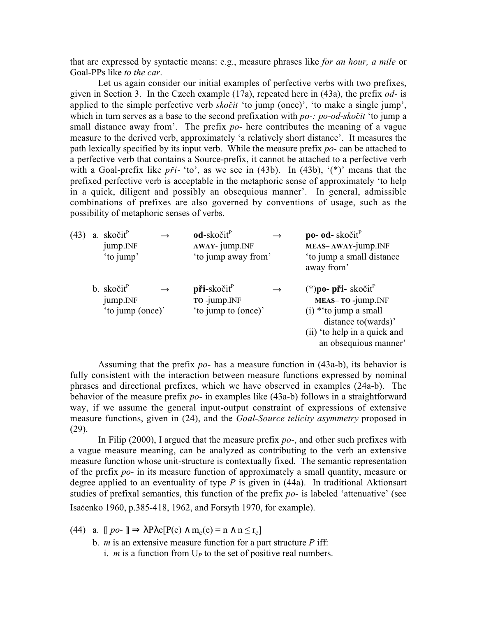that are expressed by syntactic means: e.g., measure phrases like for an hour, a mile or Goal-PPs like to the car.

Let us again consider our initial examples of perfective verbs with two prefixes, given in Section 3. In the Czech example (17a), repeated here in (43a), the prefix *od*- is applied to the simple perfective verb sko*ãit* 'to jump (once)', 'to make a single jump', which in turn serves as a base to the second prefixation with po-: po-od-sko*ãit* 'to jump a small distance away from'. The prefix  $po$ - here contributes the meaning of a vague measure to the derived verb, approximately 'a relatively short distance'. It measures the path lexically specified by its input verb. While the measure prefix po- can be attached to a perfective verb that contains a Source-prefix, it cannot be attached to a perfective verb with a Goal-prefix like  $p\ddot{r}i$ - 'to', as we see in (43b). In (43b), '(\*)' means that the prefixed perfective verb is acceptable in the metaphoric sense of approximately 'to help in a quick, diligent and possibly an obsequious manner'. In general, admissible combinations of prefixes are also governed by conventions of usage, such as the possibility of metaphoric senses of verbs.

| (43) | a. skočit <sup>P</sup><br>jump.INF<br>'to jump'        | $od$ -skočit $P$<br>AWAY- jump.INF<br>'to jump away from' |               | po- od- skočit <sup>P</sup><br>MEAS-AWAY-jump.INF<br>'to jump a small distance<br>away from'                                                                      |
|------|--------------------------------------------------------|-----------------------------------------------------------|---------------|-------------------------------------------------------------------------------------------------------------------------------------------------------------------|
|      | b. skočit <sup>P</sup><br>jump.INF<br>'to jump (once)' | $pi$ i-skočit $^P$<br>TO -jump.INF<br>'to jump to (once)' | $\rightarrow$ | $(*)$ po- při- skočit $^{\rm P}$<br>MEAS-TO-jump.INF<br>$(i)$ * 'to jump a small<br>distance to (wards)'<br>(ii) 'to help in a quick and<br>an obsequious manner' |

Assuming that the prefix po- has a measure function in (43a-b), its behavior is fully consistent with the interaction between measure functions expressed by nominal phrases and directional prefixes, which we have observed in examples (24a-b). The behavior of the measure prefix  $po-$  in examples like (43a-b) follows in a straightforward way, if we assume the general input-output constraint of expressions of extensive measure functions, given in (24), and the *Goal-Source telicity asymmetry* proposed in (29).

In Filip (2000), I argued that the measure prefix  $po$ -, and other such prefixes with a vague measure meaning, can be analyzed as contributing to the verb an extensive measure function whose unit-structure is contextually fixed. The semantic representation of the prefix po- in its measure function of approximately a small quantity, measure or degree applied to an eventuality of type  $P$  is given in (44a). In traditional Aktionsart studies of prefixal semantics, this function of the prefix  $po-$  is labeled 'attenuative' (see Isaçcenko 1960, p.385-418, 1962, and Forsyth 1970, for example).

- (44) a.  $[po ] \Rightarrow \lambda P \lambda e[P(e) \wedge m_c(e) = n \wedge n \le r_c]$ 
	- b. *m* is an extensive measure function for a part structure  $P$  iff: i. *m* is a function from  $U_P$  to the set of positive real numbers.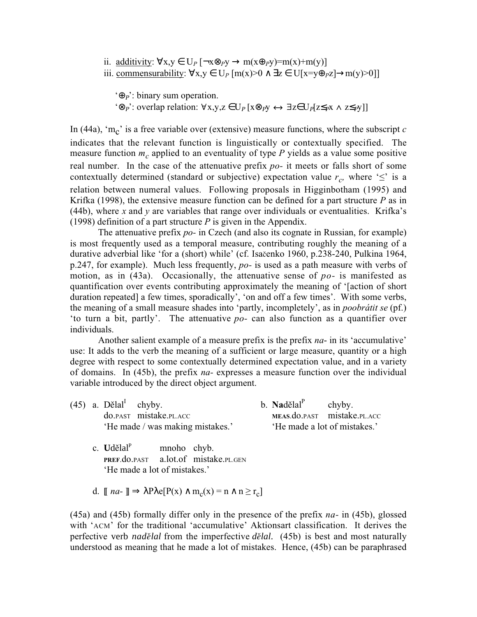ii. <u>additivity</u>:  $\forall x, y \in U_P \left[ \neg x \otimes_P y \rightarrow m(x \oplus_P y) = m(x) + m(y) \right]$ iii. commensurability:  $\forall x,y \in U_P[m(x)>0 \land \exists z \in U[x=y\oplus_Pz] \rightarrow m(y)>0]$ 

 $\Theta_P$ : binary sum operation. '⊗<sub>P</sub>': overlap relation:  $\forall x,y,z \in U_P[x\otimes_{P}y \leftrightarrow \exists z \in U_P[z\le_{P}x \land z\le_{P}y]$ 

In (44a), 'm<sub>c</sub>' is a free variable over (extensive) measure functions, where the subscript c indicates that the relevant function is linguistically or contextually specified. The measure function  $m<sub>c</sub>$  applied to an eventuality of type P yields as a value some positive real number. In the case of the attenuative prefix po- it meets or falls short of some contextually determined (standard or subjective) expectation value  $r_c$ , where ' $\leq$ ' is a relation between numeral values. Following proposals in Higginbotham (1995) and Krifka (1998), the extensive measure function can be defined for a part structure  $P$  as in (44b), where x and y are variables that range over individuals or eventualities. Krifka's (1998) definition of a part structure  $P$  is given in the Appendix.

The attenuative prefix po- in Czech (and also its cognate in Russian, for example) is most frequently used as a temporal measure, contributing roughly the meaning of a durative adverbial like 'for a (short) while' (cf. Isaãenko 1960, p.238-240, Pulkina 1964, p.247, for example). Much less frequently,  $po-$  is used as a path measure with verbs of motion, as in  $(43a)$ . Occasionally, the attenuative sense of  $po-$  is manifested as quantification over events contributing approximately the meaning of '[action of short duration repeated] a few times, sporadically', 'on and off a few times'. With some verbs, the meaning of a small measure shades into 'partly, incompletely', as in *poobrátit se* (pf.) 'to turn a bit, partly'. The attenuative po- can also function as a quantifier over individuals.

Another salient example of a measure prefix is the prefix *na*- in its 'accumulative' use: It adds to the verb the meaning of a sufficient or large measure, quantity or a high degree with respect to some contextually determined expectation value, and in a variety of domains. In (45b), the prefix na- expresses a measure function over the individual variable introduced by the direct object argument.

|  | $(45)$ a. Dělal <sup>I</sup> chyby.                                    |                        |  | b. $N \cdot \text{addial}^P$ chyby. |                             |  |
|--|------------------------------------------------------------------------|------------------------|--|-------------------------------------|-----------------------------|--|
|  |                                                                        | do.past mistake.pl.acc |  |                                     | MEAS.do.PAST mistake.PL.ACC |  |
|  | 'He made / was making mistakes.'                                       |                        |  | 'He made a lot of mistakes.'        |                             |  |
|  | $\sim$ <b>T</b> L <sub>1</sub> $\times$ 1. <sub>2</sub> 1 <sup>P</sup> | والمحامر ومالم متمن    |  |                                     |                             |  |

- c. **U**dělal<sup>P</sup> mnoho chyb. PREF.do.PAST a.lot.of mistake.PL.GEN 'He made a lot of mistakes.'
- d.  $\llbracket na \rrbracket \Rightarrow \lambda P \lambda e[P(x) \wedge m_c(x) = n \wedge n \ge r_c]$

(45a) and (45b) formally differ only in the presence of the prefix  $na-$  in (45b), glossed with 'ACM' for the traditional 'accumulative' Aktionsart classification. It derives the perfective verb *nadûlal* from the imperfective *dûlal*. (45b) is best and most naturally understood as meaning that he made a lot of mistakes. Hence, (45b) can be paraphrased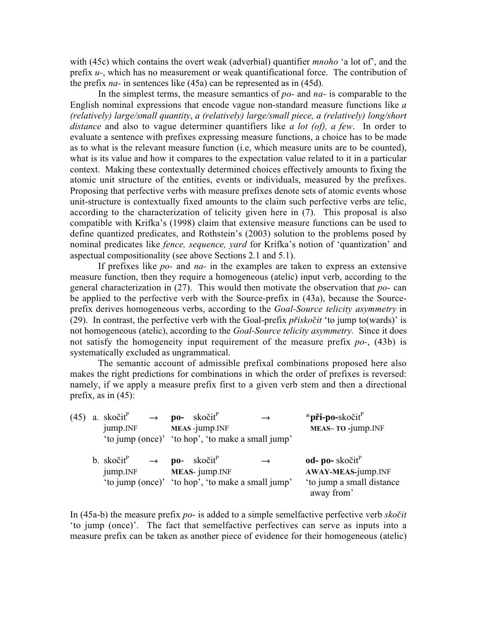with (45c) which contains the overt weak (adverbial) quantifier *mnoho* 'a lot of', and the prefix  $u$ -, which has no measurement or weak quantificational force. The contribution of the prefix na- in sentences like (45a) can be represented as in (45d).

In the simplest terms, the measure semantics of  $po$ - and  $na$ - is comparable to the English nominal expressions that encode vague non-standard measure functions like  $a$ (relatively) large/small quantity, a (relatively) large/small piece, a (relatively) long/short distance and also to vague determiner quantifiers like a lot (of), a few. In order to evaluate a sentence with prefixes expressing measure functions, a choice has to be made as to what is the relevant measure function (i.e, which measure units are to be counted), what is its value and how it compares to the expectation value related to it in a particular context. Making these contextually determined choices effectively amounts to fixing the atomic unit structure of the entities, events or individuals, measured by the prefixes. Proposing that perfective verbs with measure prefixes denote sets of atomic events whose unit-structure is contextually fixed amounts to the claim such perfective verbs are telic, according to the characterization of telicity given here in (7). This proposal is also compatible with Krifka's (1998) claim that extensive measure functions can be used to define quantized predicates, and Rothstein's (2003) solution to the problems posed by nominal predicates like *fence, sequence, yard* for Krifka's notion of 'quantization' and aspectual compositionality (see above Sections 2.1 and 5.1).

If prefixes like po- and na- in the examples are taken to express an extensive measure function, then they require a homogeneous (atelic) input verb, according to the general characterization in  $(27)$ . This would then motivate the observation that po- can be applied to the perfective verb with the Source-prefix in (43a), because the Sourceprefix derives homogeneous verbs, according to the *Goal-Source telicity asymmetry* in (29). In contrast, the perfective verb with the Goal-prefix *pfiiskoãit* 'to jump to(wards)' is not homogeneous (atelic), according to the *Goal-Source telicity asymmetry*. Since it does not satisfy the homogeneity input requirement of the measure prefix  $po$ -, (43b) is systematically excluded as ungrammatical.

The semantic account of admissible prefixal combinations proposed here also makes the right predictions for combinations in which the order of prefixes is reversed: namely, if we apply a measure prefix first to a given verb stem and then a directional prefix, as in  $(45)$ :

|  | (45) a. skočit <sup>P</sup> $\rightarrow$ <b>po-</b> skočit <sup>P</sup><br>jump.INF |  | MEAS-jump.INF | $\rightarrow$                                                      | * <b>při-po-</b> skočit <sup>P</sup><br>MEAS-TO-jump.INF                                                         |
|--|--------------------------------------------------------------------------------------|--|---------------|--------------------------------------------------------------------|------------------------------------------------------------------------------------------------------------------|
|  |                                                                                      |  |               | 'to jump (once)' 'to hop', 'to make a small jump'                  |                                                                                                                  |
|  | b. skočit <sup>P</sup> $\rightarrow$ <b>po</b> - skočit <sup>P</sup><br>jump.INF     |  | MEAS-jump.INF | $\rightarrow$<br>'to jump (once)' 'to hop', 'to make a small jump' | $od$ - po-skočit $\mathbf{r}^{\text{P}}$<br><b>AWAY-MEAS-jump.INF</b><br>'to jump a small distance<br>away from' |

In (45a-b) the measure prefix po- is added to a simple semelfactive perfective verb sko*ãit* 'to jump (once)'. The fact that semelfactive perfectives can serve as inputs into a measure prefix can be taken as another piece of evidence for their homogeneous (atelic)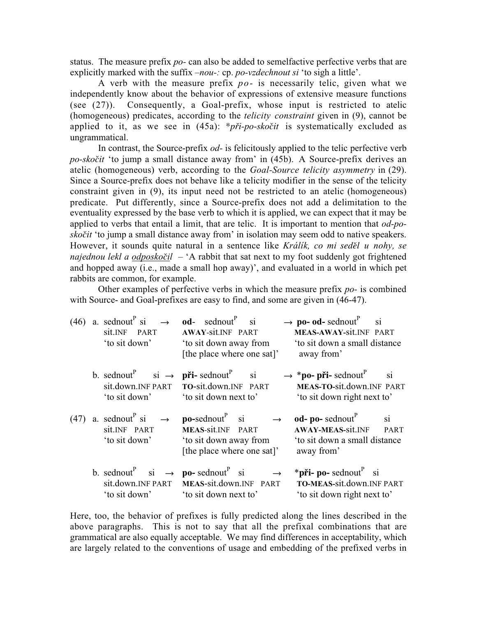status. The measure prefix po- can also be added to semelfactive perfective verbs that are explicitly marked with the suffix  $-nou-$ : cp. *po-vzdechnout si* 'to sigh a little'.

A verb with the measure prefix  $po-$  is necessarily telic, given what we independently know about the behavior of expressions of extensive measure functions (see (27)). Consequently, a Goal-prefix, whose input is restricted to atelic (homogeneous) predicates, according to the telicity constraint given in (9), cannot be applied to it, as we see in (45a): \**pfii*-po-sko*ãit* is systematically excluded as ungrammatical.

In contrast, the Source-prefix *od*- is felicitously applied to the telic perfective verb po-sko*ãit* 'to jump a small distance away from' in (45b). A Source-prefix derives an atelic (homogeneous) verb, according to the *Goal-Source telicity asymmetry* in (29). Since a Source-prefix does not behave like a telicity modifier in the sense of the telicity constraint given in (9), its input need not be restricted to an atelic (homogeneous) predicate. Put differently, since a Source-prefix does not add a delimitation to the eventuality expressed by the base verb to which it is applied, we can expect that it may be applied to verbs that entail a limit, that are telic. It is important to mention that  $od-po$ sko*ãit* 'to jump a small distance away from' in isolation may seem odd to native speakers. However, it sounds quite natural in a sentence like Králík, co mi *sedûl* u nohy, se najednou lekl a odposko*ã*il – 'A rabbit that sat next to my foot suddenly got frightened and hopped away (i.e., made a small hop away)', and evaluated in a world in which pet rabbits are common, for example.

Other examples of perfective verbs in which the measure prefix po- is combined with Source- and Goal-prefixes are easy to find, and some are given in  $(46-47)$ .

|      | $(46)$ a. sednout <sup>P</sup> si<br>$\rightarrow$<br>sit.INF PART<br>'to sit down'                               | <b>od</b> - sednout <sup>P</sup> si<br><b>AWAY-Sit.INF PART</b><br>'to sit down away from<br>[the place where one sat]'                               | $\rightarrow$ po- od- sednout <sup>P</sup><br>si<br>MEAS-AWAY-Sit.INF PART<br>'to sit down a small distance<br>away from'                                |
|------|-------------------------------------------------------------------------------------------------------------------|-------------------------------------------------------------------------------------------------------------------------------------------------------|----------------------------------------------------------------------------------------------------------------------------------------------------------|
|      | b. sednout <sup>P</sup> si $\rightarrow$ <b>pri-</b> sednout <sup>P</sup><br>sit.down.INF PART<br>'to sit down'   | si<br>TO-sit.down.INF PART<br>'to sit down next to'                                                                                                   | $\rightarrow$ *po- při- sednout $^P$<br>si<br>MEAS-TO-sit.down.INF PART<br>'to sit down right next to'                                                   |
| (47) | a. sednout <sup>P</sup> si $\rightarrow$<br>sit.INF PART<br>'to sit down'                                         | $\mathbf{po}\text{-}$ sednout $\mathbf{v}^{\text{P}}$ si<br>$\rightarrow$<br>MEAS-sit.INF PART<br>to sit down away from<br>[the place where one sat]' | $\textbf{od}$ - $\textbf{po}$ - sednout <sup>P</sup><br>$\sin$<br><b>AWAY-MEAS-sit.INF</b><br><b>PART</b><br>'to sit down a small distance<br>away from' |
|      | b. sednout <sup>P</sup> si $\rightarrow$ <b>po</b> -sednout <sup>P</sup> si<br>sit.down.INF PART<br>'to sit down' | $\rightarrow$<br>MEAS-sit.down.INF PART<br>'to sit down next to'                                                                                      | <b>*při-</b> po- sednout $\frac{P}{P}$ si<br>TO-MEAS-sit.down.INF PART<br>'to sit down right next to'                                                    |

Here, too, the behavior of prefixes is fully predicted along the lines described in the above paragraphs. This is not to say that all the prefixal combinations that are grammatical are also equally acceptable. We may find differences in acceptability, which are largely related to the conventions of usage and embedding of the prefixed verbs in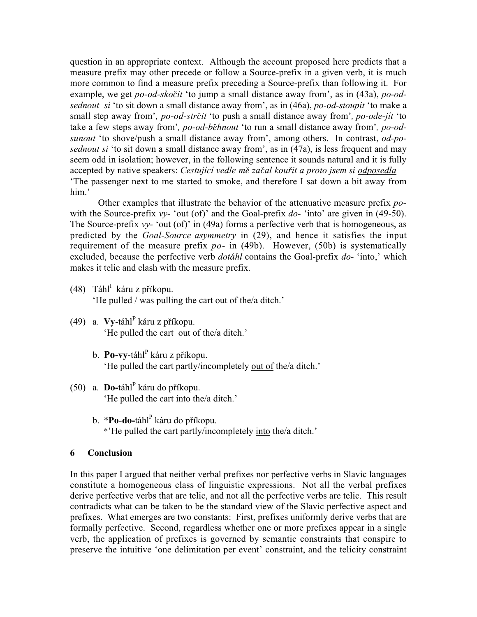question in an appropriate context. Although the account proposed here predicts that a measure prefix may other precede or follow a Source-prefix in a given verb, it is much more common to find a measure prefix preceding a Source-prefix than following it. For example, we get po-od-skočit 'to jump a small distance away from', as in (43a), po-odsednout si 'to sit down a small distance away from', as in (46a), po-od-stoupit 'to make a small step away from', po-od-str*ã*it 'to push a small distance away from', po-ode-jít 'to take a few steps away from', po-od-*bûhnout* 'to run a small distance away from', po-odsunout 'to shove/push a small distance away from', among others. In contrast, od-posednout si 'to sit down a small distance away from', as in (47a), is less frequent and may seem odd in isolation; however, in the following sentence it sounds natural and it is fully accepted by native speakers: Cestující vedle m*û* za*ã*al kou*fi*it a proto jsem si odposedla – 'The passenger next to me started to smoke, and therefore I sat down a bit away from him.'

Other examples that illustrate the behavior of the attenuative measure prefix powith the Source-prefix  $vv$ - 'out (of)' and the Goal-prefix *do*- 'into' are given in (49-50). The Source-prefix  $vy$ - 'out (of)' in (49a) forms a perfective verb that is homogeneous, as predicted by the *Goal-Source asymmetry* in (29), and hence it satisfies the input requirement of the measure prefix  $po-$  in (49b). However, (50b) is systematically excluded, because the perfective verb dot*á*hl contains the Goal-prefix do- 'into,' which makes it telic and clash with the measure prefix.

- (48) Táhl<sup>I</sup> káru z příkopu. 'He pulled / was pulling the cart out of the/a ditch.'
- (49) a. **Vy-**táhl<sup>P</sup> káru z příkopu. 'He pulled the cart out of the/a ditch.'
	- b. P**o-vy-**táhl<sup>p</sup> káru z příkopu. 'He pulled the cart partly/incompletely out of the/a ditch.'
- (50) a. **Do-**táhl<sup>P</sup> káru do příkopu. 'He pulled the cart into the/a ditch.'
	- b. \***Po-do-**táhl<sup>P</sup> káru do příkopu. \*'He pulled the cart partly/incompletely into the/a ditch.'

# 6 Conclusion

In this paper I argued that neither verbal prefixes nor perfective verbs in Slavic languages constitute a homogeneous class of linguistic expressions. Not all the verbal prefixes derive perfective verbs that are telic, and not all the perfective verbs are telic. This result contradicts what can be taken to be the standard view of the Slavic perfective aspect and prefixes. What emerges are two constants: First, prefixes uniformly derive verbs that are formally perfective. Second, regardless whether one or more prefixes appear in a single verb, the application of prefixes is governed by semantic constraints that conspire to preserve the intuitive 'one delimitation per event' constraint, and the telicity constraint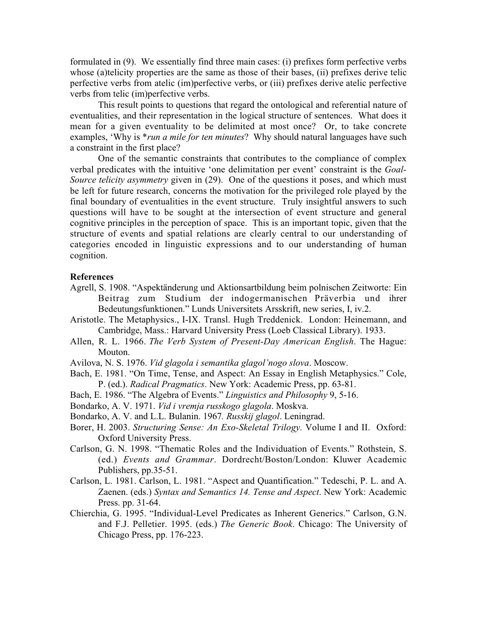formulated in (9). We essentially find three main cases: (i) prefixes form perfective verbs whose (a)telicity properties are the same as those of their bases, (ii) prefixes derive telic perfective verbs from atelic (im)perfective verbs, or (iii) prefixes derive atelic perfective verbs from telic (im)perfective verbs.

This result points to questions that regard the ontological and referential nature of eventualities, and their representation in the logical structure of sentences. What does it mean for a given eventuality to be delimited at most once? Or, to take concrete examples, 'Why is \*run a mile for ten minutes? Why should natural languages have such a constraint in the first place?

One of the semantic constraints that contributes to the compliance of complex verbal predicates with the intuitive 'one delimitation per event' constraint is the Goal-Source telicity asymmetry given in (29). One of the questions it poses, and which must be left for future research, concerns the motivation for the privileged role played by the final boundary of eventualities in the event structure. Truly insightful answers to such questions will have to be sought at the intersection of event structure and general cognitive principles in the perception of space. This is an important topic, given that the structure of events and spatial relations are clearly central to our understanding of categories encoded in linguistic expressions and to our understanding of human cognition.

#### References

- Agrell, S. 1908. "Aspektänderung und Aktionsartbildung beim polnischen Zeitworte: Ein Beitrag zum Studium der indogermanischen Präverbia und ihrer Bedeutungsfunktionen." Lunds Universitets Arsskrift, new series, I, iv.2.
- Aristotle. The Metaphysics., I-IX. Transl. Hugh Treddenick. London: Heinemann, and Cambridge, Mass.: Harvard University Press (Loeb Classical Library). 1933.
- Allen, R. L. 1966. The Verb System of Present-Day American English. The Hague: Mouton.
- Avilova, N. S. 1976. Vid glagola i semantika glagol'nogo slova. Moscow.
- Bach, E. 1981. "On Time, Tense, and Aspect: An Essay in English Metaphysics." Cole, P. (ed.). Radical Pragmatics. New York: Academic Press, pp. 63-81.
- Bach, E. 1986. "The Algebra of Events." Linguistics and Philosophy 9, 5-16.
- Bondarko, A. V. 1971. Vid i vremja russkogo glagola. Moskva.
- Bondarko, A. V. and L.L. Bulanin. 1967. Russkij glagol. Leningrad.
- Borer, H. 2003. Structuring Sense: An Exo-Skeletal Trilogy. Volume I and II. Oxford: Oxford University Press.
- Carlson, G. N. 1998. "Thematic Roles and the Individuation of Events." Rothstein, S. (ed.) Events and Grammar. Dordrecht/Boston/London: Kluwer Academic Publishers, pp.35-51.
- Carlson, L. 1981. Carlson, L. 1981. "Aspect and Quantification." Tedeschi, P. L. and A. Zaenen. (eds.) Syntax and Semantics 14. Tense and Aspect. New York: Academic Press. pp. 31-64.
- Chierchia, G. 1995. "Individual-Level Predicates as Inherent Generics." Carlson, G.N. and F.J. Pelletier. 1995. (eds.) The Generic Book. Chicago: The University of Chicago Press, pp. 176-223.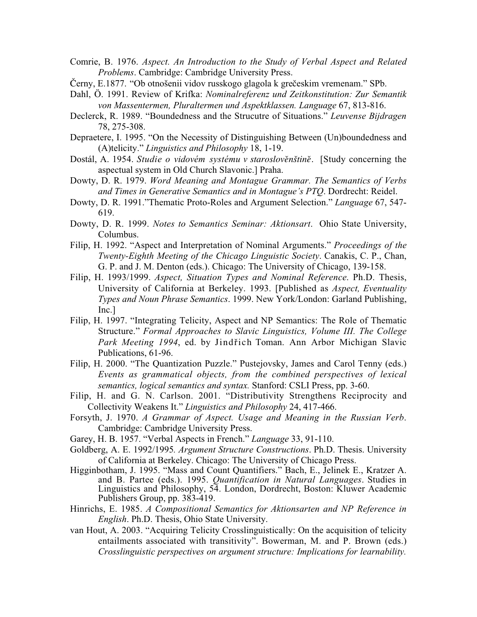- Comrie, B. 1976. Aspect. An Introduction to the Study of Verbal Aspect and Related Problems. Cambridge: Cambridge University Press.
- Černy, E.1877. "Ob otnošenii vidov russkogo glagola k grečeskim vremenam." SPb.
- Dahl, Ö. 1991. Review of Krifka: Nominalreferenz und Zeitkonstitution: Zur Semantik von Massentermen, Pluraltermen und Aspektklassen. Language 67, 813-816.
- Declerck, R. 1989. "Boundedness and the Strucutre of Situations." Leuvense Bijdragen 78, 275-308.
- Depraetere, I. 1995. "On the Necessity of Distinguishing Between (Un)boundedness and (A)telicity." Linguistics and Philosophy 18, 1-19.
- Dostál, A. 1954. Studie o vidovém systému v staroslověnštině. [Study concerning the aspectual system in Old Church Slavonic.] Praha.
- Dowty, D. R. 1979. Word Meaning and Montague Grammar. The Semantics of Verbs and Times in Generative Semantics and in Montague's PTQ. Dordrecht: Reidel.
- Dowty, D. R. 1991."Thematic Proto-Roles and Argument Selection." Language 67, 547- 619.
- Dowty, D. R. 1999. Notes to Semantics Seminar: Aktionsart. Ohio State University, Columbus.
- Filip, H. 1992. "Aspect and Interpretation of Nominal Arguments." Proceedings of the Twenty-Eighth Meeting of the Chicago Linguistic Society. Canakis, C. P., Chan, G. P. and J. M. Denton (eds.). Chicago: The University of Chicago, 139-158.
- Filip, H. 1993/1999. Aspect, Situation Types and Nominal Reference. Ph.D. Thesis, University of California at Berkeley. 1993. [Published as Aspect, Eventuality Types and Noun Phrase Semantics. 1999. New York/London: Garland Publishing, Inc.]
- Filip, H. 1997. "Integrating Telicity, Aspect and NP Semantics: The Role of Thematic Structure." Formal Approaches to Slavic Linguistics, Volume III. The College Park Meeting 1994, ed. by Jindřich Toman. Ann Arbor Michigan Slavic Publications, 61-96.
- Filip, H. 2000. "The Quantization Puzzle." Pustejovsky, James and Carol Tenny (eds.) Events as grammatical objects, from the combined perspectives of lexical semantics, logical semantics and syntax. Stanford: CSLI Press, pp. 3-60.
- Filip, H. and G. N. Carlson. 2001. "Distributivity Strengthens Reciprocity and Collectivity Weakens It." Linguistics and Philosophy 24, 417-466.
- Forsyth, J. 1970. A Grammar of Aspect. Usage and Meaning in the Russian Verb. Cambridge: Cambridge University Press.
- Garey, H. B. 1957. "Verbal Aspects in French." Language 33, 91-110.
- Goldberg, A. E. 1992/1995. Argument Structure Constructions. Ph.D. Thesis. University of California at Berkeley. Chicago: The University of Chicago Press.
- Higginbotham, J. 1995. "Mass and Count Quantifiers." Bach, E., Jelinek E., Kratzer A. and B. Partee (eds.). 1995. Quantification in Natural Languages. Studies in Linguistics and Philosophy, 54. London, Dordrecht, Boston: Kluwer Academic Publishers Group, pp. 383-419.
- Hinrichs, E. 1985. A Compositional Semantics for Aktionsarten and NP Reference in English. Ph.D. Thesis, Ohio State University.
- van Hout, A. 2003. "Acquiring Telicity Crosslinguistically: On the acquisition of telicity entailments associated with transitivity". Bowerman, M. and P. Brown (eds.) Crosslinguistic perspectives on argument structure: Implications for learnability.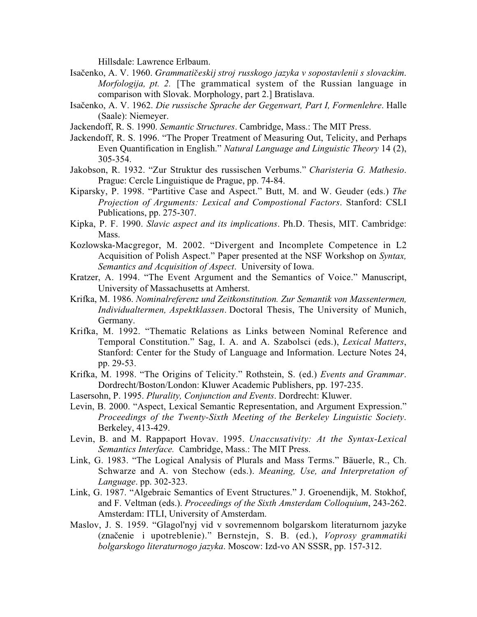Hillsdale: Lawrence Erlbaum.

- Isaãenko, A. V. 1960. *Grammatiãeskij* stroj russkogo jazyka v sopostavlenii s slovackim. Morfologija, pt. 2. [The grammatical system of the Russian language in comparison with Slovak. Morphology, part 2.] Bratislava.
- Isaãenko, A. V. 1962. Die russische Sprache der Gegenwart, Part I, Formenlehre. Halle (Saale): Niemeyer.
- Jackendoff, R. S. 1990. Semantic Structures. Cambridge, Mass.: The MIT Press.
- Jackendoff, R. S. 1996. "The Proper Treatment of Measuring Out, Telicity, and Perhaps Even Quantification in English." Natural Language and Linguistic Theory 14 (2), 305-354.
- Jakobson, R. 1932. "Zur Struktur des russischen Verbums." Charisteria G. Mathesio. Prague: Cercle Linguistique de Prague, pp. 74-84.
- Kiparsky, P. 1998. "Partitive Case and Aspect." Butt, M. and W. Geuder (eds.) The Projection of Arguments: Lexical and Compostional Factors. Stanford: CSLI Publications, pp. 275-307.
- Kipka, P. F. 1990. Slavic aspect and its implications. Ph.D. Thesis, MIT. Cambridge: Mass.
- Kozlowska-Macgregor, M. 2002. "Divergent and Incomplete Competence in L2 Acquisition of Polish Aspect." Paper presented at the NSF Workshop on Syntax, Semantics and Acquisition of Aspect. University of Iowa.
- Kratzer, A. 1994. "The Event Argument and the Semantics of Voice." Manuscript, University of Massachusetts at Amherst.
- Krifka, M. 1986. Nominalreferenz und Zeitkonstitution. Zur Semantik von Massentermen, Individualtermen, Aspektklassen. Doctoral Thesis, The University of Munich, Germany.
- Krifka, M. 1992. "Thematic Relations as Links between Nominal Reference and Temporal Constitution." Sag, I. A. and A. Szabolsci (eds.), Lexical Matters, Stanford: Center for the Study of Language and Information. Lecture Notes 24, pp. 29-53.
- Krifka, M. 1998. "The Origins of Telicity." Rothstein, S. (ed.) Events and Grammar. Dordrecht/Boston/London: Kluwer Academic Publishers, pp. 197-235.
- Lasersohn, P. 1995. Plurality, Conjunction and Events. Dordrecht: Kluwer.
- Levin, B. 2000. "Aspect, Lexical Semantic Representation, and Argument Expression." Proceedings of the Twenty-Sixth Meeting of the Berkeley Linguistic Society. Berkeley, 413-429.
- Levin, B. and M. Rappaport Hovav. 1995. Unaccusativity: At the Syntax-Lexical Semantics Interface. Cambridge, Mass.: The MIT Press.
- Link, G. 1983. "The Logical Analysis of Plurals and Mass Terms." Bäuerle, R., Ch. Schwarze and A. von Stechow (eds.). Meaning, Use, and Interpretation of Language. pp. 302-323.
- Link, G. 1987. "Algebraic Semantics of Event Structures." J. Groenendijk, M. Stokhof, and F. Veltman (eds.). Proceedings of the Sixth Amsterdam Colloquium, 243-262. Amsterdam: ITLI, University of Amsterdam.
- Maslov, J. S. 1959. "Glagol'nyj vid v sovremennom bolgarskom literaturnom jazyke (znaãenie i upotreblenie)." Bernstejn, S. B. (ed.), Voprosy grammatiki bolgarskogo literaturnogo jazyka. Moscow: Izd-vo AN SSSR, pp. 157-312.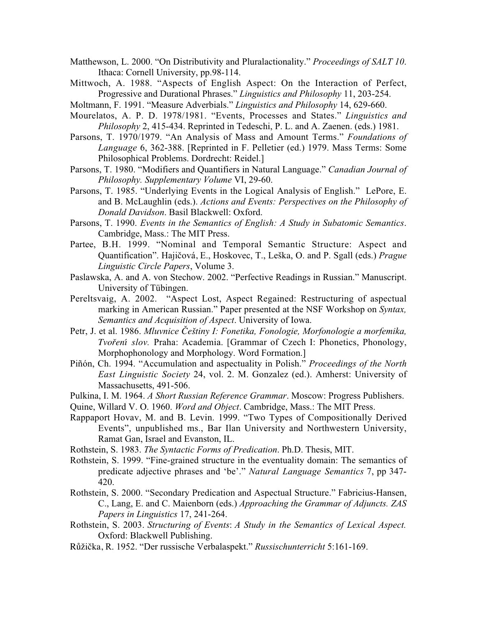- Matthewson, L. 2000. "On Distributivity and Pluralactionality." *Proceedings of SALT 10*. Ithaca: Cornell University, pp.98-114.
- Mittwoch, A. 1988. "Aspects of English Aspect: On the Interaction of Perfect, Progressive and Durational Phrases." Linguistics and Philosophy 11, 203-254.
- Moltmann, F. 1991. "Measure Adverbials." Linguistics and Philosophy 14, 629-660.
- Mourelatos, A. P. D. 1978/1981. "Events, Processes and States." Linguistics and Philosophy 2, 415-434. Reprinted in Tedeschi, P. L. and A. Zaenen. (eds.) 1981.
- Parsons, T. 1970/1979. "An Analysis of Mass and Amount Terms." Foundations of Language 6, 362-388. [Reprinted in F. Pelletier (ed.) 1979. Mass Terms: Some Philosophical Problems. Dordrecht: Reidel.]
- Parsons, T. 1980. "Modifiers and Quantifiers in Natural Language." Canadian Journal of Philosophy. Supplementary Volume VI, 29-60.
- Parsons, T. 1985. "Underlying Events in the Logical Analysis of English." LePore, E. and B. McLaughlin (eds.). Actions and Events: Perspectives on the Philosophy of Donald Davidson. Basil Blackwell: Oxford.
- Parsons, T. 1990. Events in the Semantics of English: A Study in Subatomic Semantics. Cambridge, Mass.: The MIT Press.
- Partee, B.H. 1999. "Nominal and Temporal Semantic Structure: Aspect and Quantification". Hajičová, E., Hoskovec, T., Leška, O. and P. Sgall (eds.) Prague Linguistic Circle Papers, Volume 3.
- Paslawska, A. and A. von Stechow. 2002. "Perfective Readings in Russian." Manuscript. University of Tübingen.
- Pereltsvaig, A. 2002. "Aspect Lost, Aspect Regained: Restructuring of aspectual marking in American Russian." Paper presented at the NSF Workshop on Syntax, Semantics and Acquisition of Aspect. University of Iowa.
- Petr, J. et al. 1986. Mluvnice Češtiny I: Fonetika, Fonologie, Morfonologie a morfemika, *Tvofiení* slov. Praha: Academia. [Grammar of Czech I: Phonetics, Phonology, Morphophonology and Morphology. Word Formation.]
- Piñón, Ch. 1994. "Accumulation and aspectuality in Polish." Proceedings of the North East Linguistic Society 24, vol. 2. M. Gonzalez (ed.). Amherst: University of Massachusetts, 491-506.
- Pulkina, I. M. 1964. A Short Russian Reference Grammar. Moscow: Progress Publishers.
- Quine, Willard V. O. 1960. *Word and Object*. Cambridge, Mass.: The MIT Press.
- Rappaport Hovav, M. and B. Levin. 1999. "Two Types of Compositionally Derived Events", unpublished ms., Bar Ilan University and Northwestern University, Ramat Gan, Israel and Evanston, IL.
- Rothstein, S. 1983. The Syntactic Forms of Predication. Ph.D. Thesis, MIT.
- Rothstein, S. 1999. "Fine-grained structure in the eventuality domain: The semantics of predicate adjective phrases and 'be'." Natural Language Semantics 7, pp 347- 420.
- Rothstein, S. 2000. "Secondary Predication and Aspectual Structure." Fabricius-Hansen, C., Lang, E. and C. Maienborn (eds.) Approaching the Grammar of Adjuncts. ZAS Papers in Linguistics 17, 241-264.
- Rothstein, S. 2003. Structuring of Events: A Study in the Semantics of Lexical Aspect. Oxford: Blackwell Publishing.
- RÛÏiãka, R. 1952. "Der russische Verbalaspekt." Russischunterricht 5:161-169.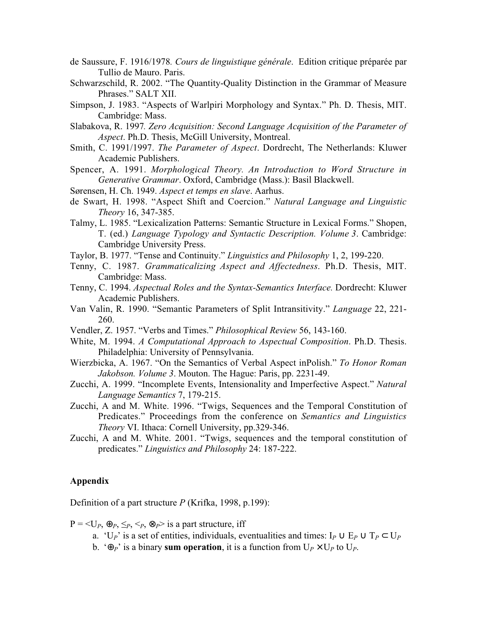- de Saussure, F. 1916/1978. Cours de linguistique générale. Edition critique préparée par Tullio de Mauro. Paris.
- Schwarzschild, R. 2002. "The Quantity-Quality Distinction in the Grammar of Measure Phrases." SALT XII.
- Simpson, J. 1983. "Aspects of Warlpiri Morphology and Syntax." Ph. D. Thesis, MIT. Cambridge: Mass.
- Slabakova, R. 1997. Zero Acquisition: Second Language Acquisition of the Parameter of Aspect. Ph.D. Thesis, McGill University, Montreal.
- Smith, C. 1991/1997. The Parameter of Aspect. Dordrecht, The Netherlands: Kluwer Academic Publishers.
- Spencer, A. 1991. Morphological Theory. An Introduction to Word Structure in Generative Grammar. Oxford, Cambridge (Mass.): Basil Blackwell.
- Sørensen, H. Ch. 1949. Aspect et temps en slave. Aarhus.
- de Swart, H. 1998. "Aspect Shift and Coercion." Natural Language and Linguistic Theory 16, 347-385.
- Talmy, L. 1985. "Lexicalization Patterns: Semantic Structure in Lexical Forms." Shopen, T. (ed.) Language Typology and Syntactic Description. Volume 3. Cambridge: Cambridge University Press.
- Taylor, B. 1977. "Tense and Continuity." Linguistics and Philosophy 1, 2, 199-220.
- Tenny, C. 1987. Grammaticalizing Aspect and Affectedness. Ph.D. Thesis, MIT. Cambridge: Mass.
- Tenny, C. 1994. Aspectual Roles and the Syntax-Semantics Interface. Dordrecht: Kluwer Academic Publishers.
- Van Valin, R. 1990. "Semantic Parameters of Split Intransitivity." Language 22, 221- 260.
- Vendler, Z. 1957. "Verbs and Times." Philosophical Review 56, 143-160.
- White, M. 1994. *A Computational Approach to Aspectual Composition*. Ph.D. Thesis. Philadelphia: University of Pennsylvania.
- Wierzbicka, A. 1967. "On the Semantics of Verbal Aspect inPolish." To Honor Roman Jakobson. Volume 3. Mouton. The Hague: Paris, pp. 2231-49.
- Zucchi, A. 1999. "Incomplete Events, Intensionality and Imperfective Aspect." Natural Language Semantics 7, 179-215.
- Zucchi, A and M. White. 1996. "Twigs, Sequences and the Temporal Constitution of Predicates." Proceedings from the conference on Semantics and Linguistics Theory VI. Ithaca: Cornell University, pp.329-346.
- Zucchi, A and M. White. 2001. "Twigs, sequences and the temporal constitution of predicates." Linguistics and Philosophy 24: 187-222.

### Appendix

Definition of a part structure  $P$  (Krifka, 1998, p.199):

 $P = \langle U_p, \oplus_p, \leq_p, \leq_p, \otimes_p \rangle$  is a part structure, iff

- a. 'U<sub>P</sub>' is a set of entities, individuals, eventualities and times: I<sub>P</sub> ∪ E<sub>P</sub> ∪ T<sub>P</sub> ⊂ U<sub>P</sub>
- b.  $\Theta_P$ ' is a binary sum operation, it is a function from  $U_P \times U_P$  to  $U_P$ .